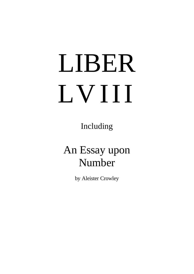Including

# An Essay upon Number

by Aleister Crowley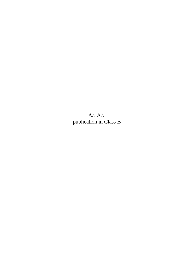A∴A∴ publication in Class B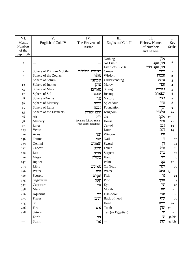| VI.            | V.                      | IV.                    | Ш.                  | Π.                           | I.                      |
|----------------|-------------------------|------------------------|---------------------|------------------------------|-------------------------|
| Mystic         | English of Col. IV      | The Heavens of         | English of Col. II  | <b>Hebrew Names</b>          | Key                     |
| <b>Numbers</b> |                         | Assiah                 |                     | of Numbers                   | Scale.                  |
| of the         |                         |                        |                     | and Letters.                 |                         |
| Sephiroth      |                         |                        |                     |                              |                         |
| $\Omega$       |                         |                        | Nothing<br>No Limit | rin<br>r <sub>N</sub><br>סוף | $\bf o$                 |
|                |                         |                        | Limitless L.V.X.    | סוף אור<br>ľ۳                |                         |
| 1              | Sphere of Primum Mobile | ראשת הגלגל             | Crown               | כתו                          | 1                       |
| 3              | Sphere of the Zodiac    | מזלות                  | Wisdom              | הכמה                         | $\overline{\mathbf{z}}$ |
| 6              | Sphere of Saturn        | שבתאי                  | Understanding       | בינה                         | 3                       |
| <b>10</b>      | Sphere of Jupiter       | צרק                    | Mercy               | חכר                          | 4                       |
| 15             | Sphere of Mars          | מאדים                  | Strength            | גבורה                        | 5                       |
| 2I             | Sphere of Sol           | שמש                    | Beauty              | תפארת                        | 6                       |
| 28             | Sphere of Venus         | כנה                    | Victory             | נצח                          | 7                       |
| 36             | Sphere of Mercury       | כוככ                   | Splendour           | הוד                          | 8                       |
| 45             | Sphere of Luna          | לבנה                   | Foundation          | יכוד                         | 9                       |
| 55             | Sphere of the Elements  | חלם יסודות             | Kingdom             | מלכ                          | I0                      |
| 66             | Air                     | רוח                    | Ox                  | אלה                          | II                      |
| 78             | Mercury                 | [Planets follow Sephi- | House               | בית                          | 12                      |
| QI             | Luna                    | roth corresponding]    | Camel               | במל                          | 13                      |
| 105            | Venus                   |                        | Door                | דלת                          | 14                      |
| 120            | Aries                   | תלה                    | Window              | הה                           | 15                      |
| 136            | Taurus                  | שור                    | Nail                | ٦ì                           | 16                      |
| 153            | Gemini                  | האתים                  | Sword               | ٣٦                           | <b>17</b>               |
| 171            | Cancer                  | סרטז                   | Fence               | חית                          | 18                      |
| <b>100</b>     | Leo                     | אריה                   | Serpent             | טית                          | 19                      |
| 2I0            | Virgo                   | בתולה                  | Hand                | יוד                          | 20                      |
| 231            | Jupiter                 |                        | Palm                | כף                           | 2I                      |
| 253            | Libra                   | מאזנים                 | Ox Goad             | למר                          | 22                      |
| 276            | Water                   | מים                    | Water               | מים                          | 23                      |
| 300            | Scorpio                 | עקרב                   | Fish                | נוז                          | 24                      |
| 325            | Sagittarius             | קשת                    | Prop                | כמך                          | 25                      |
| 35I            | Capricorn               | נרי                    | Eye                 | עיין                         | 26                      |
| 378            | Mars                    |                        | Mouth               | פה                           | 27                      |
| 406            | Aquarius                | حض                     | Fish-hook           | צדי                          | 28                      |
| 435            | Pisces                  | רגים                   | Back of head        | קוף                          | 29                      |
| 465            | Sol                     |                        | Head                | ריש                          | 30                      |
| 496            | Fire                    | wx                     | Tooth               | שין                          | 3 <sup>T</sup>          |
| 528            | Saturn                  |                        | Tau (as Egyptian)   | ٣                            | 32                      |
|                | Earth                   | <b>TN</b>              |                     | 'n                           | 32 bis                  |
|                | Spirit                  | ארן                    |                     | שיו                          | 31 bis                  |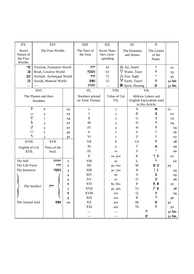| The Four Worlds.<br>The Parts of<br>Secret Num-<br>Secret<br>The Elements<br>The Letters<br>Names of<br>the Soul<br>bers corre-<br>and Senses<br>of the                      |                      |
|------------------------------------------------------------------------------------------------------------------------------------------------------------------------------|----------------------|
| the Four<br>sponding<br>Name.<br>Worlds.                                                                                                                                     |                      |
| $\triangle$ Air, Smell<br>$\mathbf{L}$<br>מה<br>Yetzirah, Formative World<br>רוח<br>45                                                                                       | II                   |
| $\nabla$ Water, Taste<br>æ<br>63<br>Briah, Creative World<br>נשמה<br>n                                                                                                       | 23                   |
| $\Delta$ Fire, Sight<br>٠<br>עב<br>Atziluth, Archetypal World<br>חיה<br>72                                                                                                   | 3 <sup>T</sup>       |
| $\overline{\nabla}$ Earth, Touch<br>Assiah, Material World<br>כפש<br>52<br>בז<br>п                                                                                           | 32 bis               |
| <b><sup>❸</sup></b> Spirit, Hearing<br>יחידה<br>ש                                                                                                                            | 31 bis               |
| XVI.<br>IX.<br>VIII.<br>VII.                                                                                                                                                 |                      |
| The Planets and their<br>Value of Col<br>Numbers printed<br>Hebrew Letters and<br>VII.<br>on Tarot Trumps.<br>English Equivalents used<br><b>Numbers</b><br>in this Article. |                      |
| ₫<br>8<br>A<br>ĸ<br><b>I2</b><br>$\bf{0}$<br>1                                                                                                                               | $\mathbf{I}$         |
| B<br>I<br>∍<br>$\forall$<br>$\overline{9}$<br>13<br>$\overline{\mathbf{c}}$                                                                                                  | <b>I2</b>            |
| Q<br>$\mathbf{I}$<br>G<br>ı<br>$\overline{7}$<br><b>I4</b><br>3                                                                                                              | 13                   |
| $\frac{1}{4}$<br>Ш<br>D<br>٦<br>21<br>$\overline{4}$<br>4                                                                                                                    | 14                   |
| ්<br>IV<br>H<br>π<br>5<br>27<br>5                                                                                                                                            | 15                   |
| $\odot$<br>V<br>6<br>V<br>6<br>30                                                                                                                                            | 16                   |
| $\ddagger$<br>VI<br>Z<br>٢<br>32<br>$\overline{7}$<br>3                                                                                                                      | <b>17</b>            |
| XVIII.<br>8<br>XVII.<br>VІІ<br>Ch<br>π                                                                                                                                       | 18                   |
| T<br>XI<br>'n<br>$\boldsymbol{Q}$<br>Parts of the<br>English of Col.                                                                                                         | 19                   |
| Y<br>XVII.<br>IX<br>Soul.<br><b>I0</b>                                                                                                                                       | 20                   |
| X<br>K<br>20,500<br>∍                                                                                                                                                        | 2I                   |
| The Self<br>יחידה<br>VIII<br>L<br>30<br>$\mathbf{I}$                                                                                                                         | 22                   |
| The Life Force<br>XII<br>חיה<br>40,600<br>M<br>ם ם<br>$\overline{\mathbf{z}}$                                                                                                | 23                   |
| The Intutition<br>כשמה<br>XШ<br>$\mathbf N$<br>ב ז<br>50,700<br>3                                                                                                            | 24                   |
| XIV<br>S<br>60<br>۵<br>4                                                                                                                                                     | 25                   |
| Y.<br>XV<br>$\Omega$<br>70<br>5                                                                                                                                              | 26                   |
| P<br>6<br><b>XVI</b><br>80,800<br>פ ף<br>The Intellect<br>רוח                                                                                                                | 27                   |
| لا ۲<br><b>XVII</b><br>Tz<br>90, 900<br>7                                                                                                                                    | 28                   |
| 8<br><b>XVIII</b><br>Q<br><b>I00</b><br>P<br>$\mathbb{R}$<br><b>XIX</b><br>┑                                                                                                 | 29                   |
| $\overline{9}$<br>200<br>The Animal Soul<br>נפש<br>XX<br>Sh<br>ש                                                                                                             | 30                   |
| I0<br>300<br>XXI<br>Th<br>'n                                                                                                                                                 | 3 <sub>1</sub><br>32 |
| 400<br>'n                                                                                                                                                                    | $32$ bis             |
| ש                                                                                                                                                                            | 31 bis               |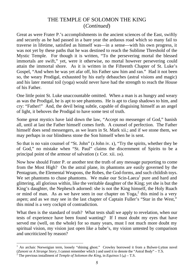# THE TEMPLE OF SOLOMON THE KING (*Continued*)

Great as were Frater P.'s accomplishments in the ancient sciences of the East, swiftly and securely as he had passed in a bare year the arduous road which so many fail to traverse in lifetime, satisfied as himself was—in a sense—with his own progress, it was not yet by these paths that he was destined to reach the Sublime Threshold of the Mystic Temple. For though it is written, "To the persevering mortal the blessed immortals are swift," yet, were it otherwise, no mortal however persevering could attain the immortal shore. As it is written in the Fifteenth Chapter of St. Luke's Gospel, "And when he was yet afar off, his Father saw him and ran." Had it not been so, the weary Prodigal, exhausted by his early debauches (astral visions and magic) and his later mental toil (yoga) would never have had the strength to reach the House of his Father.

One little point St. Luke unaccountable omitted. When a man is as hungry and weary as was the Prodigal, he is apt to see phantoms. He is apt to clasp shadows to him, and cry: "Father!" And, the devil being subtle, capable of disguising himself as an angel of light, it behoves the Prodigal to have some test of truth.

Some great mystics have laid down the law, "Accept no messenger of God," banish all, until at last the Father himself comes forth. A counsel of perfection. The Father himself does send messengers, as we learn in St. Mark xii.; and if we stone them, we may perhaps in our blindness stone the Son himself when he is sent.

So that is no vain counsel of "St. John"  $(1)$  John iv. 1), "Try the spirits, whether they be of God," no mistake when "St. Paul" claims the discernment of Spirits to be a principal point of the armour of salvation (1 Cor. xii. 10).

Now how should Frater P. or another test the truth of any message purporting to come from the Most High? On the astral plane, its phantoms are easily governed by the Pentagram, the Elemental Weapons, the Robes, the God-forms, and such childish toys. We set phantoms to chase phantoms. We make our Scin-Laeca<sup>1</sup> pure and hard and glittering, all glorious within, like the veritable daughter of the King; yet she is but the King's daughter, the Nephesch adorned: she is not the King himself, the Holy Ruach or mind of man. As as we have seen in our chapter on  $Yoga<sub>z</sub><sup>2</sup>$  this mind is a very aspen; and as we may see in the last chapter of Captain Fuller's "Star in the West," this mind is a very cockpit of contradiction.

What then is the standard of truth? What tests shall we apply to revelation, when our tests of experience have been found wanting? If I must doubt my eyes that have served me (well, on the whole) for so many years, must I not much more doubt my spiritual vision, my vision just open like a babe's, my vision untested by comparison and uncriticized by reason?

<sup>1</sup> An archaic Norweigian term, loosely "shining ghost." Crowley borrowed it from a Bulwer-Lytton novel (*Zanoni* or *A Strange Story*, I cannot remember which ) and used it to denote the "Astral Body" – T.S.

<sup>2</sup> The previous installment of *Temple of Solomon the King*, in *Equinox* I (4) – T.S.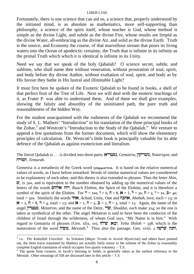Fortunately, there is one science that can aid us, a science that, properly understood by the initiated mind, is as absolute as mathematics, more self-supporting than philosophy, a science of the spirit itself, whose teacher is God, whose method is simple as the divine Light, and subtle as the divine Fire, whose results are limpid as the divine Water, all-embracing as the divine Air, and solid as the divine Earth. Truth is the source, and Economy the course, of that marvellous stream that pours its living waters into the Ocean of apodeictic certainty, the Truth that is infinite in its infinity as the primal Truth which which it is identical is infinite in its Unity.

Need we say that we speak of the holy Qabalah? O science secret, subtle, and sublime, who shall name thee without veneration, without prostration of soul, spirit, and body before thy divine Author, without exaltation of soul, spirit, and body as by His favour they bathe in His lustral and illimitable Light?

It must first here be spoken of the Exoteric Qabalah to be found in books, a shell of that perfect fruit of the Tree of Life. Next we will deal with the esoteric teachings of it, as Frater P. was able to understand them. And of these we shall give examples, showing the falsity and absurdity of the uninitiated path, the pure truth and reasonableness of the hidden Way.

For the student unacquainted with the rudiments of the Qabalah we recommend the study of S. L. Mathers' "Introduction" to his translation of the three principal books of the Zohar,<sup>3</sup> and Westcott's "Introduction to the Study of the Qabalah." We venture to append a few quotations from the former document, which will show the elementary principles of calculation. Dr. Westcott's little book is principally valuable for its able defence of the Qabalah as against exotericism and literalism.

The literal Qabalah is . . . is divided into three parts: ayrfmg, *Gematria*; }wqyrfwn, *Notariqon*; and hrwmt, *Temurah*.

Gemetria is a metathesis of the Greek word *reaumated.* It is based on the relative numerical values of words, as I have before remarked. Words of similar numerical values are considerered to be explanatory of each other, and this theory is also extended to phrases. Thus the letter *Shin*,  $\mathbf{v}$ , is 300, and is equivalent to the number obtained by adding up the numerical values of the letters of the words \yhla jwr, *Ruach Elohim*, the Spirit of the Elohim; and it is therefore a symbol of the spirit of the Elohim. For  $\bar{z} = 200$ ,  $\bar{z} = 6$ ,  $\bar{z} = 8$ ,  $\bar{z} = 1$ ,  $\bar{z} = 30$ ,  $\bar{z} = 5$ ,  $\bar{z} = 10$ ,  $\bar{z} = 40$ ; total = 300. Similarly the words dja, *Achad*, Unity, One and hbha, *Ahebah*, love, each = 13; or  $\mathbf{S} = \mathbf{I}$ ,  $\overline{\mathbf{I}} = 8$ ,  $\overline{\mathbf{I}} = 4$ , total = 13; and  $\mathbf{S} = \mathbf{I}$ ,  $\overline{\mathbf{I}} = 5$ ,  $\overline{\mathbf{I}} = 5$ ,  $\overline{\mathbf{I}} = 5$ , total = 13. Again, the name of the angel **המבררן,** *Metatron*, and the name of the Deity, *"בשר"*, *Shaddai*, each make 314; so the one is taken as symbolical of the other. The angel Metatron is said to have been the conductor of the children of Israel through the wilderness, of whom God says, "My Name is in him." With regard to Gematria of phrases (Gen. xlix, 10),  $\pi r$ **Exe.**  $\gamma$ , *Yeba Shiloh* = 358, which is the numeration of the word שמשה, *Messiah*.<sup>4</sup> Thus also the passage, Gen. xviii. 2 חדנה,

<sup>3</sup> *i.e. The Kaballah Unveiled*. As Scholem (*Major Trends in Jewish Mysticism*) and others have pointed out, the three tracts translated by Mathers are actually fairly minor in the scheme of the *Zohar* (a reasonably complete English translation of which occupies five quarto volumes) – T.S.

<sup>4</sup> The quote from Genesis, in Jacob's blessing to Judah, is generally taken as the earliest reference to the Messiah. Other meanings of 358 are discussed later in this article – T.S.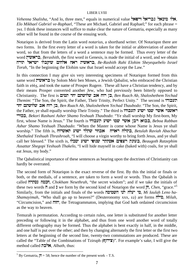$Vehenna Shalisha$ . "And lo, three men." equals in numerical value ור**פא**ל ורפאל. גבריאל *Elo Mikhael Gabriel ve-Raphael*, "These are Michael, Gabriel and Raphael;" for each phrase = 701. I think these instances will suffice to make clear the nature of Gematria, especially as many other will be found in the course of the ensuing work.

Notariqon is derived from the Latin word *notarius*, a shorthand writer. Of Notariqon there are two forms. In the first every letter of a word is taken for the initial or abbreviation of another word, so that from the letters of a word a sentence may be formed. Thus every letter of the word **בראשית.** *Berashith*, the first word in Genesis, is made the initial of a word, and we obtain hrwt larcy wlbqyc \yhla har tycarb, *Be-Rashith Rahi Elohim Sheyequebelo Israel Torah*, "In the beginning the Elohim saw that Israel would accept the Law."

In this connection I may give six very interesting specimens of Notariqon formed from this same word בראשית by Solom Meir ben Moses, a Jewish Qabalist, who embraced the Christian faith in 1665, and took the name of Prosper Rugere. These all have a Christian tendency, and by their means Prosper converted another Jew, who had previously been bitterly opposed to Christianity. The first is \ymt djy \tcwlc ba jwr }b, *Ben Ruach Ab, Shaloshethem Yechad Themim*: "The Son, the Spirit, the Father, Their Trinity, Perfect Unity." The second is wdwbut djy \tcwlc ba jwr }b, *Ben Ruach Ab, Shaloshethem Yechad Thaubodo*: "The Son, the Spirit,  $t$ the Father, ye shall equally worship Their Trinity." The third is ראשני ישנו ישוע רעכודו yrwkb, *Bekori Rashuni Asher Shamo Yeshuah Thaubodo*: "Ye shall worship My first-born, My first, whose Name is Jesus." The fourth is wdwbut uwcy wmc rca }br awbb, *Beboa Rabban Ashar Shamo Yeshuah Thaubado*: "When the Master is come whose Name is Jesus ye shall worship." The fifth is, hwrcat uwcy dltc rjba hywar hlwtb, *Betulah Raviah Abachar Shethaled Yeshuah Thrashroah*, "I will choose a virgin worthy to bring forth Jesus, and ye shall call her blessed." The sixth is, בעוגת ישוע ישוע ישוע ווער דעפים, *Beaugoth Ratzephim Assattar Shegopi Yeshuah Thakelo*, "I will hide mayself in cake (baked with) coals, for ye shall eat Jesus, my body."

The Qabalistical importance of these sentences as bearing upon the doctrines of Christianity can hardly be overrated.

The second form of Notariqon is the exact reverse of the first. By this the initial or finals or both, or the medials, of a sentence, are taken to form a word or words. Thus the Qabalah is called hrtsn hmkj, *Chokham Nesethrah*, "the secret wisdom"; and if we take the initials of these two words  $\bar{\mathfrak{n}}$  and  $\bar{\mathfrak{p}}$  we form by the second kind of Notarigon the word  $\bar{\mathfrak{n}}$ , *Chen*, "grace."<sup>5</sup> Similarly, from the initials and finals of the words hmymch wnl hluy ym, *Mi Iaulah Leno ha-Shamayimah*, "Who shall go up to heaven?" (Deuteronomy xxx, 12) are forms **ה**ללה, *Milah*, "Circumcision," and hwhy, the Tetragrammaton, implying that God hath ordained circumcision as the way to heaven.

Temurah is permutation. According to certain rules, one letter is substituted for another letter preceding or following it in the alphabet, and thus from one word another word of totally different orthography may be formed. Thus the alphabet is bent exactly in half, in the middle, and one half is put over the other; and then by changing alternately the first letter or the first two letters at the beginning of the second line, twenty-two commutations are produced. These are called the "Table of the Combinations of Tziruph ("צירון")". For example's sake, I will give the method called tbla, *Albath*, thus:

 $\overline{a}$ 

 $<sup>5</sup>$  By Gematria,  $\uparrow$  = 58; hence the number of the present work – T.S.</sup>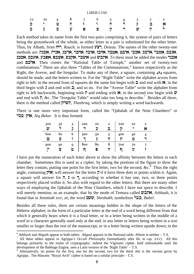|  |  |  |  | II I0 9 8 7 6 5 4 3 2 I |  |
|--|--|--|--|-------------------------|--|
|  |  |  |  | א בנר הוו הטיכ          |  |
|  |  |  |  | ל ת ש ר ק צ פ ע כ נ מ   |  |

Each method takes its name from the first two pairs comprising it, the system of pairs of letters being the groundwork of the whole, as either letter in a pair is substituted for the other letter. Thus, by Albath, from **היה**, *Ruach*, is formed  $\mathbb{Z}$ **,** *Detzau*. The names of the other twenty-one methods are: אנבמ, אמבה, אובה, אובה, אובר, אמבה, אפנג, ואנגם, ו $\boldsymbol{\kappa}$ , האפנג, ו $\boldsymbol{\kappa}$ , ו הבנ, אפבע, אפבע, אפבע, אפבע, אפבע, and  $x$ הבנ $x$ , ro these must be added the modes  $x$ and  $\overrightarrow{a}$ . Then comes the "Rational Table of Tziruph," another set of twenty-two combinations.<sup>6</sup> There are also three "Tables of the Commutations," known respectively as the Right, the Averse, and the Irregular. To make any of these, a square, containing  $484$  squares, should be made, and the letters written in. For the "Right Table" write the alphabet across from right to left: in the second from of squares do the same but begin with  $\Box$  and end with  $\mathcal{S}$ ; in the third begin with  $\sharp$  and end with  $\sharp$ ; and so no. For the "Averse Table" write the alphabet from right to left backwards, beginning with  $\Box$  and ending with  $\Diamond$ ; in the second row begin with  $\Box$ and end with  $\overline{p}$ , &c. The "Irregular Table" would take too long to describe.<sup>7</sup> Besides all these, there is the method called qrct, *Thashraq*, which is simply writing a word backwards.

There is one more very important form, called the "Qabalah of the Nine Chambers" or rkb qya, *Aiq Bekar*. It is thus formed:

| 300<br>ש  | 30      |    | 200      | 20 | 2 | <b>100</b> | 10 |  |
|-----------|---------|----|----------|----|---|------------|----|--|
| 600       | 60      | v  | 500      | 50 |   | 400        | 40 |  |
| 900<br>99 | 90<br>v | 'n | 800<br>п | 80 | ō | 700        | 70 |  |

I have put the numeration of each letter above to show the affinity between the letters in each chamber. Sometimes this is used as a cipher, by taking the portions of the figure to show the letter they contain, putting one point for the first letter, two for the second,  $\&c$ .<sup>8</sup> Thus the right angle, containing  $\triangledown\!\!\!\!\!\!\!\times\!\!\!\!\!\times\!\!$ , will answer for the letter  $\triangledown$  if it have three dots or points within it. Again, a square will answer for  $\overline{n}$ ,  $\overline{a}$  or  $\overline{n}$ , according to whether it has one, two, or three points respectively placed within it. So also with regard to the other letters. But there are many other ways of employing the Qabalah of the Nine Chambers, which I have not space to describe. I will merely mention, as an example, that by the mode of Temura called  $\mathbb{Z} \rightarrow \mathbb{R}$ . Athbash, it is found that in Jeremiah xxv, 26, the word kcc, *Sheshakh*, symbolizes lbb, *Babel*.

Besides all these rules, there are certain meanings hidden in the *shape* of the letters of the Hebrew alphabet; in the form of a particular letter at the end of a word being different from that which it generally bears when it is a final letter, or in a letter being written in the middle of a word in a character generally used only at the end; in any letter or letters being written in a size smaller or larger than the rest of the manuscript, or in a letter being written upside down; in the

<sup>6</sup> *Athbash* and *Abgath* appear in both tables. *Abgad* appears in the Rational table, *Albam* in neither – T.S.

<sup>7</sup> All these tables appear in Agrippa's *Occult Philosophy* (immediately after lib. III cap. XXV). All this belongs primarily to the realm of cryptography; indeed the Viginaire cipher, held unbreakable until the development of the Babbage Engine, uses a Latin version of the 'Right Table' – T.S.

<sup>8</sup> Alternatively, no points for the first, one for the second, two for the third; this is the version given by Agrippa. The Masonic "Royal Arch" cipher is based on a similar principle – T.S.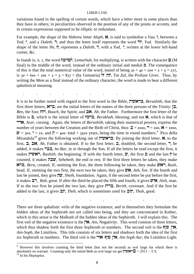variations found in the spelling of certain words, which have a letter more in some places than they have in others; in peculiarities observed in the position of any of the points or accents, and in certain expressions supposed to be elliptic or redundant.

For example, the shape of the Hebrew letter *Aleph*, **S**, is said to symbolise a *Vau*, *i*, between a *Yod*, ", and a *Daleth*, "*z*; and thus the letter itself represents the word "*n*", *Yod.* Similarly the shape of the letter *He*,  $\bar{n}$ , represents a *Daleth*,  $\bar{n}$ , with a *Yod*,  $\dot{n}$ , written at the lower left-hand corner, &c.

In Isaiah ix, 6, 7, the word  $\prod_{i=1}^{n}$  *Lemarbah*, for multiplying, is written with the character  $\square$  (M final) in the middle of the word, instead of the ordinary initial and medial  $\sum$ . The consequence of this is that the total numerical value of the word, insted of being  $30 + 40 + 200 + 2 + 5 = 277$ ,  $i\sin 30 + 600 + 200 + 2 + 5 = 837 =$  (by Gematria)  $\frac{1}{27}$ , *Tat Zal*, the Profuse Giver. Thus, by writing the *Mem* as a final instead of the ordinary character, the word is made to bear a different qabalistical meaning.

. . . . . . . . . . . .

It is to be further noted with regard to the first word in the Bible, tycarb, *Berashith*, that the first three letters,  $\sum$ , are the initial letters of the names of the three persons of the Trinity:  $\sum$ , *Ben*, the Son; **ה'ה**, *Ruach*, the Spirit; and **אבּ** Ab, the Father. Furthermore the first letter of the **Bible is**  $\Delta$ , which is the initial letter of  $\Delta$ ,  $\Delta$ *Berakhah*, blessing; and not  $\Delta$ , which is that of rra, *Arar*, cursing. Again, the letters of *Berashith*, taking their numerical powers, express the number of years between the Creation and the Birth of Christ, thus:  $\Delta = 2000$ ,  $\gamma = 200$ ,  $\gamma = 1000$ ,  $\mathbf{w} = 300$ ,  $\mathbf{v} = \mathbf{r}$ , and  $\mathbf{v} = 400$ : total = 3910 years, being the time in round numbers. Pico della Mirandola<sup>10</sup> gives the following working out of  $\Box$ בראשה: By joining the third letter, **s**, to the first,  $\Rightarrow$ ,  $\Rightarrow$ **x**, *Ab*, Father is obtained. If to the first letter,  $\Rightarrow$ , doubled, the second letter,  $\Rightarrow$ , be added, it makes rbb, *be-Bar*, in or through the Son. If all the letters be read except the first, it makes **ראשי**ת, *Rashith*, the beginning. If with the fourth letter,  $\mathbf{v}$ , the first  $\mathbf{\Sigma}$  and the last  $\mathbf{\Gamma}$  be counted, it makes tbc, *Sehebeth*, the end or rest. If the first three letters be taken, they make  $\epsilon$ **r**, *Bera*, created. If, omitting the first, the three following be taken, they make  $\epsilon$ head. If, omitting the two first, the next two be taken, they give **28.** Ash, fire. If the fourth and last be joined, they give tc, *Sheth*, foundation. Again, if the second letter be put before the first, it makes **bridges**, *Rab*, great. If after the third be placed the fifth and fourth, it gives  $\mathbf{w}\mathbf{\hat{x}}$ , *Aish*, man. If to the two first be joined the two last, they give tyrb, *Berith*, covenant. And if the first be added to the last, it gives bt, *Theb*, which is sometimes used for bwt, *Thob*, good.

There are three qabalistic veils of the negative existence, and in themselves they formulate the *hidden ideas* of the Sephiroth not yet called into being, and they are concentrated in Kether, which in this sense is the Malkuth of the hidden ideas of the Sephiroth. I will explain this. The first veil of the negative existence is the  $\ddot{r}$ , *Ain*, Negativity. This word consists of three letters, which thus shadow forth the first three Sephiroth or numbers. The second veil is the  $\tilde{y}$ *Ain-Soph*, the Limitless. This title consists of six letters and shadows forth the idea of the first six Sephiroth or numbers. The third veil is the rwa [ws }ya, *Ain Soph Aur*, the Limitless Light.

. . . . . . . . . . . .

<sup>9</sup> However this involves counting the third letter (but not the second) as writ large for which there is absolutely no warrant. Counting only the initial Beth as writ large we get  $\Box$  $= 2911 - T.S.$ 

<sup>10</sup> In his *Heptaplus*.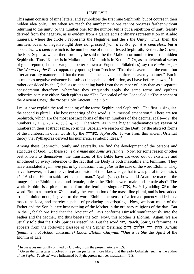This again consists of nine letters, and symbolizes the first nine Sephiroth, but of course in their hidden idea only. But when we reach the number nine we cannot progress farther without returning to the unity, or the number one, for the number ten is but a repetition of unity freshly derived from the negative, as is evident from a glance at its ordinary representation in Arabic numerals, where the circle o represents the Negative, and the 1 the Unity. Thus, then, the limitless ocean of negative light *does not proceed from a centre, for it is centreless, but it concentrates a centre*, which is the number one of the manifested Sephiroth, Kether, the Crown, the First Sephira; which therefore may be said to be the Malkuth or number ten of the hidden Sephiroth. Thus "Kether is in Malkuth, and Malkuth is in Kether." Or, as an alchemical writer of great repute (Thomas Vaughan, better known as Eugenius Philalethes) say (in *Euphrates, or The Waters of the East*), apparently quoting from Proclus: "That the heaven is in the earth, but after an earthly manner; and that the earth is in the heaven, but after a heavenly manner." But in as much as negative existence is a subject incapable of definition, as I have before shown,  $^{11}$  it is rather consideed by the Qabalists as depending back from the number of unity than as a separate consideration therefrom; wherefore they frequently apply the same terms and epithets indiscriminately to either. Such epithets are "The Concealed of the Concealed," "The Ancient of the Ancient Ones," the "Most Holy Ancient One," &c.

I must now explain the real meaning of the terms Sephira and Sephiroth. The first is singular, the second is plural. The best rendering of the word is "numerical emanation." There are ten Sephiroth, which are the most abstract forms of the ten numbers of the decimal scale—*i.e.* the numbers 1, 2, 3, 4, 5, 6, 7, 8, 9, 10. Therefore, as in the higher mathematics we reason of numbers in their abstract sense, so in the Qabalah we reason of the Deity by the abstract forms of the numbers; in other words, by the twryps, *Sephiroth*. It was from this ancient Oriental theory that Pythagoras derived his numerical symbolic ideas.<sup>12</sup>

Among these Sephiroth, jointly and severally, we find the development of the persons and attributes of God. Of these *some are male and some are female*. Now, for some reason or other best known to themselves, the translators of the Bible have crowded out of existence and smothered up every reference to the fact that the Deity is both masculine and feminine. They have translated a *feminine plural* by a *masculine singular* in the case of the word Elohim. They have, however, left an inadvertent admission of their knowledge that it was plural in Genesis i, 26: "And the Elohim said: Let us make man." Again (v. 27), how could Adam be made in the image of the Elohim, male and female, unless the Elohim were male and female also? The world Elohim is a plural formed from the feminine singular  $\pi \mathbf{\hat{x}}$ , *Eloh*, by adding  $\pi$  to the word. But in as much as  $\Box$  is usually the termination of the masculine plural, and is here added to a feminine noun, it gives to the word Elohim the sense of a female potency added to a masculine idea, and thereby capable of producing an offspring. Now, we hear much of the Father and the Son, but we hear nothing of the Mother in the ordinary religions of the day. But in the Qabalah we find that the Ancient of Days conforms Himself simultaneously into the Father and the Mother, and thus begets the Son. Now, this Mother is Elohim. Again, we are usually told that the Holy Spirit is Masculine. But the word jwr, *Ruach*, Spirit, is feminine, as appears from the following passage of the Sepher Yetzirah: \yyj \yhla rwr tja, *Achath (feminine, not Achad, masculine) Ruach Elohim Chayyim*: "One is is *She* the Spirit of the Elohim of Life."

 $\overline{a}$ 

 $11$  In passages mercifully omitted by Crowley from the present article  $-$  T.S.

<sup>&</sup>lt;sup>12</sup> Given the timescales involved it is *prima facia* far more likely that the early Qabalists (such as the author of the *Sepher Yetzirah*) were influenced by Pythagorean number mysticism – T.S.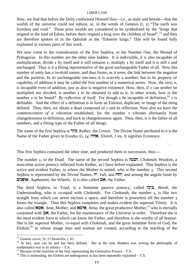Now, we find that before the Deity conformed Himself thus—*i.e.*, as male and female—that the worlds of the universe could not subsist, or, in the words of Genesis (i, 2) "The earth was formless and void." These prior worlds are considered to be symbolized by the "kings that reigned in the land of Edom, before there reigned a king over the children of Israel",<sup>13</sup> and they are therefore spoken of in the Qabalah as the "Edomite kings." This will be found fully explained in various parts of this work.

We now come to the consideration of the first Sephira, or the Number One, the Monad of Pythagoras. In this number are the other nine hidden. It is indivisible, it is also incapable of multiplication; divide  $\bar{I}$  by itself and it still remains  $\bar{I}$ , multiply  $\bar{I}$  by itself and it is still  $\bar{I}$  and unchanged. Thus is it a fitting representative of the great unchangeable Father of all. Now this number of unity has a twofold nature, and thus forms, as it were, the link between the negative and the positive. In its unchangeable one-ness it is scarcely a number; but in its property of capability of addition it may be called the first number of a numerical series. Now, the zero, 0, is incapable even of addition, just as also is negative existence. How, then, if I can neither be multiplied nor divided, is another 1 to be obtained to add to it; in other words, how is the number 2 to be found? By reflection of itself. For though  $\alpha$  be incapable of definition,<sup>14</sup> I is definable. And the effect of a definition is to form an Eidolon, duplicate, or image of the thing defined. Thus, then, we obtain a duad composed of 1 and its reflection. Now also we have *the commencement of a vibration* established, for the number 1 vibrates alternately from changelessness to definition, and back to changelessness again. Thus, then, is it the father of all numbers, and a fitting type of the Father of all things.

The name of the first Sephira is rtk, *Kether*, the Crown. The Divine Name attributed to it is the Name of the Father given in Exodus iii, 14: **hat Stephands**, *Eheieh*, I AM. It signifies Existence.

. . . . . . . . . . . .

This first Sephira contained the other nine, and produced them in succession, thus:—

The number 2, or the Duad. The name of the second Sephira is hmkj, *Chokmah*, Wisdom, a masculine active potency reflected from Kether, as I have before explained. This Sephira is the active and evident Father, to whom the Mother is united, who is the number 3. This second Sephira is represented by the Divine Names,  $\pi$ , *Yah*, and  $\pi$  $\pi$ ; and among the angelic hosts by \ynpwa, *Auphamim*, the Wheels. It is also called ba, the Father.

The third Sephira, or Triad, is a feminine passive potency, called **בינה**, *Binah*, the Understanding, who is co-equal with Chokmah. For Chokmah, the number 2, is like two straight lines which can never enclose a space, and therefore is powerless till the number 3 forms the triangle. Thus this Sephira completes and makes evident the supernal Trinity. It is also called **SES**, *Ama*, Mother, and SES, *Aima*, the great productive Mother,<sup>15</sup> who is eternally conjoined with  $\Rightarrow$ , the Father, for the maintenance of the Universe in order. Therefore she is the most evident form in which can know the Father, and therefore is she worthy of all honour. She is the supernal Mother, co-equal with Chokmah, and the great feminine form of God, the Elohim,<sup>16</sup> in whose image man and woman are created, according to the teaching of the

<sup>&</sup>lt;sup>13</sup> Genesis xxxvi, 31; I Chronicles, i, 43.

<sup>&</sup>lt;sup>14</sup> In fact, zero can be and has been defined. But at the time Mathers was writing the philosophy of mathematics was in its infancy – T.S.

<sup>&</sup>lt;sup>15</sup> Because of the insertion of the *Yod*, representing the Generative Powers – T.S.

 $16$  This is misleading; the Elohim are androgynous as has been repeatedly explained  $-$  T.S.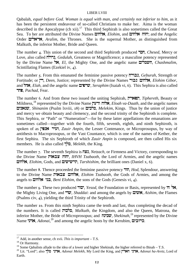Qabalah, *equal before God*. *Woman is equal with man, and certainly not inferior to him*, as it has been the persistent endeavour of so-called Christians to make her. Aima is the woman described in the Apocalypse (ch xii).<sup>17</sup> This third Sephirah is also sometimes called the Great Sea. To her are attributed the Divine Names *והוה*, *Elohim*, and  $\mathbf{S}$ להים; and the Angelic **Order**  $\forall x \in \mathbb{R}$ , *Aralim*, the Thrones. She is the supernal Mother, as distinguished from Malkuth, the inferior Mother, Bride and Queen.

The number 4. This union of the second and third Sephiroth produced dsj, *Chesed,* Mercy or Love, also called **הברולה**, *Gedulah*, Greatness or Magnificence; a masculine potency represented by the Divine Name la, *El*, the Mighty One, and the angelic name \ylmcj, *Chashmalim*, Scintillating Flames (Ezekiel iv, 4).

The number 5. From this emanated the feminine passive potency hrwbg, *Geburah*, Strength or Fortitude; or }yd, *Deen*, Justice; represented by the Divine Names rwbg \yhla, *Elohim Gibor*, and lha, *Elah*, and the angelic name \yprc, *Seraphim* (Isaiah vi, 6). This Sephira is also called djp, *Pachad*, Fear.

The number 6. And from these two issued the uniting Sephirah, trapt, *Tiphereth*, Beauty or Mildness,<sup>18</sup> represented by the Divine Name להוה ודעת, *Eloah va-Daath*, and the angelic names \ynanc, *Shinanim* (Psalm lxviii, 18) or \yklm, *Melekim*, Kings. Thus by the union of justice and mercy we obtain beauty and clemency, and the second trinity of the Sephiroth is complete. This Sephira, or "Path" or "Numeration"—for by these latter appellations the emanations are sometimes called—together with the fourth, fifth, seventh, eighth, and ninth Sephiroth, is spoken of as **וערר אנפיז,** *Zauir Anpin*, the Lesser Contenance, or Microprosopus, by way of antithesis to Macroprosopus, or the Vast Countance, which is one of the names of Kether, the first Sephira. The six Sephiroth of which *Zauir Anpin* is composed, are then called His six members. He is also called ]lm, *Melekh*, the King.

The number 7. The seventh Sephira is **127**, *Netzach*, or Firmness and Victory, corresponding to the Divine Name twabx hwhy, *IHVH Tzabaoth*, the Lord of Armies, and the angelic names \yhla, *Elohim*, Gods, and \ycycrt, *Tarshishim*, the brilliant ones (Daniel x, 6).

The number 8. Thence proceeded the feminine passive potency dwh, *Hod*, Splendour, answering to the Divine Name **the Trakessites**, *Elohim Tzabaoth*, the Gods of Armies, and among the angels to **בני אלחים**, *Beni Elohim*, the sons of the Gods (Genesis vi, 4).

**The number 9.** These two produced  $\overline{\mathbf{v}}$ , *Yesod*, the Foundation or Basis, represented by  $\mathbf{\hat{x}}$ ,  $\mathbf{\hat{x}}$ , the Mighty Living One, and **"מר"**, *Shaddai*: and among the angels by **EWS**, *Aishim*, the Flames (Psalms civ, 4), yielding the third Trinity of the Sephiroth.

The number 10. From this ninth Sephira came the tenth and last, thus completing the decad of the numbers. It is called twklm, *Malkuth*, the Kingdom, and also the Queen, Matrona, the inferior Mother, the Bride of Microprosopus; and **שכינה**, Shekinah,<sup>19</sup> represented by the Divine Name **ארנים**, *Adonai*,<sup>20</sup> and among the angelic hosts by the Kerubim, ארני

<sup>17</sup> Add, in another sense, ch xvii. *This is important* – T.S.

<sup>&</sup>lt;sup>18</sup> Or Harmony.

<sup>&</sup>lt;sup>19</sup> Some Qabalists allude to the idea of a lower and higher Shekinah, the higher referred to Binah – T.S.

 $^{20}$  Lit. "Lord"; also אדני  $\kappa$  *Adonai Melekh*, My Lord the King, and  $\kappa$ רדני  $\kappa$ , *Adonai ha-Aretz*, Lord of Earth.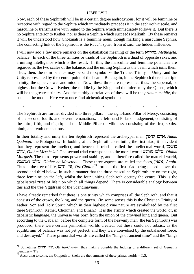Now, each of these Sephiroth will be in a certain degree androgynous, for it will be feminine or receptive with regard to the Sephira which immediately precedes it in the sephirothic scale, and masculine or transmissive with regard to the Sephira which immediately follows it. But there is no Sephira anterior to Kether, nor is there a Sephira which succeeds Malkuth. By these remarks it will be understood how Chokmah is a feminine noun, though marking a masculine Sephira. The connecting link of the Sephiroth is the *Ruach*, spirit, from *Mezla*, the hidden influence.

I will now add a few more remarks on the qabalistical meaning of the term alqtm, *Metheqela*, balance. In each of the three trinities or triads of the Sephiroth is a duad of opposite sexes, and a uniting intelligence which is the result. In this, the masculine and feminine potencies are regarded as the two scales of the balance, and the uniting Sephira as the beam which joins them. Thus, then, the term balance may be said to symbolize the Triune, Trinity in Unity, and the Unity represented by the central point of the beam. But, again, in the Sephiroth there is a triple Trinity, the upper, lower and middle. Now, these three are represented thus: the supernal, or highest, but the Crown, Kether; the middle by the King, and the inferior by the Queen; which will be the greatest trinity. And the earthly correlatives of these will be the *primum mobile*, the sun and the moon. Here we at once find alchemical symbolism.

The Sephiroth are further divided into three pillars – the right-hand Pillar of Mercy, consisting of the second, fourth, and seventh emanations; the left-hand Pillar of Judgement, consisting of the third, fifth, and eighth; and the Middle Pillar of Mildness, consisting of the first, sixths, ninth, and tenth emanations.

. . . . . . . . . . . .

In their totality and unity the ten Sephiroth represent the archetypal man, }wmdq \da, *Adam Qadmon*, the Protogonos. In looking at the Sephiroth constituting the first triad, it is evident that they represent the intellect; and hence this triad is called the intellectual world,  $\sim$ \lwu, *Olahm Mevshekal*. The second triad corresponds to the moral world cgrwm \lwu, *Olahm Morgash*. The third represents power and stability, and is therefore called the material world, ubfwmh \lwu, *Olahm ha-Mevetbau*. These three aspects are called the faces, }ypna, *Anpin*. Thus is the tree of life, \yyj {u, *Otz Chaiim*<sup>21</sup> formed; the first triad being placed above, the second and third below, in such a manner that the three masculine Sephiroth are on the right, three feminine on the left, whilst the four uniting Sephiroth occupy the centre. This is the qabalistical "tree of life," on which all things depend. There is considerable analogy between this and the tree Yggdrasil of the Scandinavians.

I have already remarked that there is one trinity which comprises all the Sephiroth, and that it consists of the crown, the king, and the queen. (In some senses this is the Christian Trinity of Father, Son and Holy Spirit, which in their highest divine nature are symbolized by the first three Sephiroth, Kether, Chokmah, and Binah.) It is the Trinity which created the world, or, in qabalistic language, the universe was born from the union of the crowned king and queen. But according to the Qabalah, before the complete form of the heavenly man (the ten Sephiroth) was produced, there were certain primordial worlds created, but these could not subsist, as the equilibrium of balance was not yet perfect, and they were convulsed by the unbalanced force, and destroyed.<sup>22</sup> These primordial worlds are called the "kings of ancient time" and the "kings"

<sup>21</sup> Sometimes \yyjh {u, *Otz ha-Chayim*, thus making possible the fudging of a different set of Gematria identities – T.S.

According to some, the Qlippoth or Shells are the remnants of these primal worlds – T.S.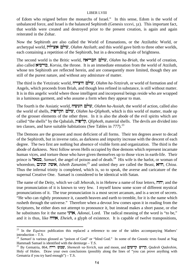of Edom who reigned before the monarchs of Israel." In this sense, Edom is the world of unbalanced force, and Israel is the balanced Sephiroth (Genesis xxxvi, 31). This important fact, that worlds were created and destroyed prior to the present creation, is again and again reiterated in the Zohar.

Now the Sephiroth are also called the World of Emanations, or the Atziluthic World, or archetypal world, twlyxa \lwu, *Olahm Atziluth*; and this world gave birth to three other worlds, each containing a repetition of the Sephiroth, but in a descending scale of brightness.

The second world is the Britic world, hayrbh \lwu, *Olahm ha-Briah*, the world of creation, also called **Axxx***Korsia*, the throne. It is an immediate emnation from the world of Atziluth, whose ten Sephiroth are reflected herein, and are consequently more limited, though they are still of the purest nature, and without any admixture of matter.

The third is the Yetziratic world, hryxyh \lwu, *Olahm ha-Yetzirah*, or world of formation and of Angels, which proceeds from Briah, and though less refined in substance, is still without matter. It is in this angelic world where those intelligent and incorporeal beings reside who are wrapped in a luminous garment, and who assume a form when they appear to man.

The fourth is the Assiatic world, **עולם העשיה,** *Olahm ha-Assiah*, the world of action, called also the world of shells, twpylqh \lwu, *Olahm ha-Qliphoth*, which is this world of matter, made up of the grosser elements of the other three. In it is also the abode of the evil spirits which are called "the shells" by the Qabalah, twpylq, *Qliphoth*, material shells. The devils are divided into ten classes, and have suitable habitations (See Tables in *777*).<sup>23</sup>

The Demons are the grossest and most deficient of all forms. Their ten degrees aswer to decad of the Sephiroth, but in inverse ratio, as darkness and impurity increase with the descent of each degree. The two first are nothing but absence of visible form and organization. The third is the abode of darkness. Next follow seven Hells occupied by thoe demons which represent incarnate human vices, and torture those who have given themselves up to those vices in earth-life. Their prince is **Samael**, the angel of poison and of death.<sup>24</sup> His wife is the harlot, or woman of whoredom, **ווער אשת** *Isheth Zanunim*;<sup>25</sup> and united they are called the Beast, **ווא**, *Chioa*. Thus the infernal trinity is completed, which is, so to speak, the averse and caricature of the supernal Creative One. Samael is considered to be identical with Satan.

The name of the Deity, which we call Jehovah, is in Hebrew a name of four letters,  $\pi \pi$ ; and the true pronunciation of it is known to very few. I myself know some score of different mystical pronunciations of it. The true pronunciation is a most secret arcanum, and is a secret of secrets. "He who can rightly pronounce it, causeth heaven and earth to tremble, for it is the name which rusheth through the universe." Therefore when a devout Jew comes upon it in reading from the Scriptures, he either does not attempt to pronounce it, but instead makes a short pause, or else he substitutes for it the name **TN**, *Adonai*, Lord. The radical meaning of the word is "to be," and it is thus, like hyha, *Eheieh*, a glyph of existence. It is capable of twelve transpositions,

 $23\,$ In the *Equinox* publication this replaced a reference to one of the tables accompanying Mathers' introduction – T.S.

<sup>&</sup>lt;sup>24</sup> Samael is various glossed as "poison of God" or "blind God." In some of the Gnostic texts found at Nag Hammadi Samael is identified with the demiurge – T.S.<br>
<sup>25</sup> By Gemetria,  $964$  **Fig. 100** Fig. 25.

<sup>25</sup> By Gematria, 864, jryw cmc, *Shemesh va-Yerich*, sun and moon, and \ycdq cwdq, *Qadesh Qadeshim*, Holy of Holies. Draw your own conclusions (possibly along the lines of "you can prove anything with Gematria if you try hard enough")  $-$  T.S.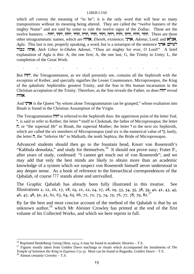which *all* convey the meaning of "to be"; it is the only word that will bear so many transpositions without its meaning being altered. They are called the "twelve banners of the mighty Name" and are said by some to rule the twelve signs of the Zodiac. These are the twelve banners: – hwhy, whhy, hhwy, yhwh, hywh, wyhh, yhhw, hhyw, hyhw, whyh, hwyh, ywhh. There are three other tetragrammatic names, which are **האבלה,** Eheieh, existence; אבל, *Adonai*, Lord; and **ו** *Agla*. This last is not, properly speaking, a word, but is a notarigon of the sentence  $\mathbf{X}$ rwbg hta, *Ateh Gibor le-Olahm Adonai*, "Thou art mighty for ever, O Lord!" A brief explanation of Agla is this: A, the one first; A, the one last; G, the Trinity in Unity; L, the completion of the Great Work.

But hwhy, the Tetragrammaton, as we shall presently see, contains all the Sephiroth with the exception of Kether, and specially signifies the Lesser Countenance, Microprosopus, the King of the qabalistic Sephirothic greatest Trinity, and the Son in His human incarnation in the Christian acceptation of the Trinity. Therefore, as the Son reveals the Father, so does hwhy reveal hyha.

. . . . . . . . . . . .

And **''ארני** is the Queen "by whom alone Tetragrammaton can be grasped," whose exaltation into Binah is found in the Christian Assumption of the Virgin.

The Tetragrammaton hwhy is referred to the Sephiroth thus: the uppermost point of the letter *Yod*, <sup>\*</sup>, is said to refer to Kether; the letter <sup>\*</sup> itself to Chokmah, the father of Microprosopus; the letter  $\overline{n}$ , or "the supernal *He*" to Binah, the supernal Mother; the letter  $\overline{a}$  to the next six Sephiroth, which are called the six members of Microprosopus (and six is the numerical value of  $\mathfrak{h}$ ); lastly, the letter h, the "inferior *He*" to Malkuth, the tenth Sephira, the Bride of Microprosopus.

Advanced students should then go to the fountain head, Knorr von Rosenroth's "Kabbala denudata," and study for themselves.<sup>26</sup> It should not prove easy; Frater P., after years of study, confessed: "I cannot get much out of von Rosenroth"; and we may add that only the best minds are likely to obtain more than an academic knowledge of a system which we suspect von Rosenroth himself never understood in any deeper sense. As a book of reference to the hierarchical correspondences of the Qabalah, of course *777* stands alone and unrivalled.

The Graphic Qabalah has already been fully illustrated in this treatise. See Illustrations 2, 12, 16, 17, 18, 19, 21, 22, 24, 27, 28, 29, 33, 34, 35, 38, 39, 40, 41, 43, 45,  $46, 47, 48, 50, 51, 61, 63, 64, 65, 66, 71, 72, 73, 74, 75, 76, 77, 78, 79, 82.<sup>27</sup>$ 

By far the best and most concise account of the method of the Qabalah is that by an unknown author, $28$  which Mr Aleister Crowley has printed at the end of the first volume of his Collected Works, and which we here reprint in full.

<sup>&</sup>lt;sup>26</sup> Reprinted Heidelberg: Georg Olms, 1974; it may be found in academic libraries – T.S.

<sup>27</sup> Figures mostly taken from Golden Dawn teachings or rituals which accompanied the instalments of *The Temple of Solomon the King* in *Equinox* I (2-3). Most can be found in Regardie, *Golden Dawn* – T.S.

 $28$  Almost certainly Crowley – T.S.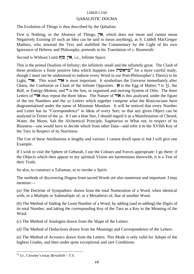# QABALISTIC DOGMA

The Evolution of Things is thus described by the Qabalists.

First is Nothing, or the Absence of Things,  $\mathbb{R}$ , which does not mean and cannot mean Negatively Existing (if such an Idea can be said to mean anything), as S. Liddell MacGregor Mathers, who misread the Text and stultified the Commentary by the Light of his own Ignorance of Hebrew and Philosophy, pretends in his Translation of v. Rosenroth.

Second is Without Limit [ws }ya, *i.e.*, Infinite Space.

This is the primal Dualism of Infinity; the infinitely small and the infinitely great. The Clash of these produces a finite positive Idea which happens (see  $\overline{X}$ בראשת <sup>29</sup> for a more careful study, though I must not be understood to indorse every Word in our Poet-Philosopher's Thesis) to be Light, **Right,** This word **Right is most important.** It symbolises the Universe immediately after Chaos, the Confusion or Clash of the Infinite Opposites.  $\mathbf{\hat{s}}$  is the Egg of Matter; is  $\mathcal{Y}$ , the Bull, or Energy-Motion; and  $\tilde{\mathcal{L}}$  is the Sun, or organised and moving System of Orbs. The three Letters of **rise** thus repeat the three Ideas. The Nature of **rise** is this analysed, under the figure of the ten Numbers and the 22 Letters which together compose what the Rosicrucians have diagrammatised under the name of Minutum Mundum. It will be noticed that every Number and Letter has its "Correspondence" in Ideas of every Sort; so that any given Object can be analysed in Terms of the 32. If I see a blue Star, I should regard it as a Manifestation of Chesed, Water, the Moon, Salt the Alchemical Principle, Sagittarius or What not, in respect of its Blueness—one would have to decide which from other Data—and refer it to the XVIIth Key of the Taro in Respect of its Starriness.

The Use of these Attributions is lengthy and various: I cannot dwell upon it: but I will give one Example.

If I wish to visit the Sphere of Geburah, I use the Colours and Forces appropriate: I go there: if the Objects which then appear to my spiritual Vision are harmonious therewith, it is a Test of their Truth.

So also, to construct a Talisman, or to invoke a Spirit.

The methods of discovering Dogma from sacred Words are also numerous and important: I may mention:—

(*a*) The Doctrine of Sympathies: drawn from the total Numeration of a Word, when identical with, or a Multiple or Submultiple of, or a Metathesis of, that of another Word.

(*b*) The Method of finding the Least Number of a Word, by adding (and re-adding) the Digits of its total Number, and taking the corresponding Key of the Taro as a Key to the Meaning of the Word.

(*c*) The Method of Analogies drawn from the Shape of the Letters.

(*d*) The Method of Deductions drawn from the Meanings and Correspondence of the Letters.

(*e*) The Method of Acrostics drawn from the Letters. This Mode is only valid for Adepts of the highest Grades, and then under quite exceptional and rare Conditions.

<sup>29</sup> *I.e.*, Crowley's essay *Berashith* – T.S.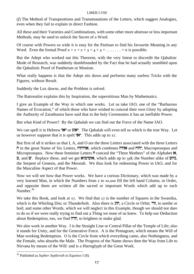(*f*) The Method of Transpositions and Transmutations of the Letters, which suggest Analogies, even when they fail to explain in direct Fashion.

All these and their Varieties and Combinations, with some other more abstruse or less important Methods, may be used to unlock the Secret of a Word.

Of course with Powers so wide it is easy for the Partisan to find his favourite Meaning in any Word. Even the formal Proof 0 = 1 = 2 = 3 = 4 = 5 = . . . . . . . = n is possible.

But the Adept who worked out this Theorem, with the very Intent to discredit the Qabalistc Mode of Research, was suddenly dumbfounded by the Fact that he had actually stumbled upon the Qabalistic Proof of Pantheism or Monism.

What really happens is that the Adept sits down and performs many useless Tricks with the Figures, without Result.

Suddenly the Lux dawns, and the Problem is solved.

The Rationalist explains this by Inspiration, the superstitious Man by Mathematics.

I give an Example of the Way in which one works. Let us take IAO, one of the "Barbarous Names of Evocation," of which those who have wished to conceal their own Glory by adopting the Authority of Zarathustra have said that in the holy Ceremonies it has an ineffable Power.

But what Kind of Power? By the Qabalah we can find out the Force of the Name IAO.

We can spell it in Hebrew **We'** or **XN'**. The Qabalah will even tell us which is the true Way. Let us however suppose that it is spelt  $\mathbb{N}$ . This adds up to 17.

But first of all it strikes us that I, A, and O are the three Letters associated with the three Letters  $\bar{\pi}$  in the great Name of Six Letters, אהדהוה, which combines האדה and hury, Macroprosopus and Microprosopus. Now these feminine Letters  $\overline{n}$  conceal the "Three Mothers" of the Alphabet  $\aleph$ , ה, and  $v$ . Replace these, and we get **שימוש which** adds up to 358, the Number alike of  $\alpha$ , the Serpent of Genesis, and the Messiah. We thus look for redeeming Power in IAO, and for the Masculine Aspect of that Power.

Now we will see how that Power works. We have a curious Dictionary, which was made by a very learned Man, in which the Numbers from 1 to 10,000 fill the left hand Column, in Order, and opposite them are written all the sacred or important Words which add up to each Number.<sup>30</sup>

We take this Book, and look at  $17$ . We find that  $17$  is the number of Squares in the Swastika, which is the Whirling Disc or Thunderbolt. Also there is  $\pi$ , a Circle or Orbit;  $\pi$ , to seethe or boil; and some other Words, which we will neglect in this Example, though we should not dare to do so if we were really trying to find out a Thing we none of us knew. To help our Deduction about Redemption, too, we find הדה, to brighten or make glad.

We also work in another Way. I is the Straight Line or Central Pillar of the Temple of Life; also it stands for Unity, and for the Generative Force. A is the Pentagram, which means the Will of Man working Redemption. O is the Circle from which everything came, also Nothingness, and the Female, who absorbs the Male. The Progress of the Name shows then the Way from Life to Nirvana by means of the Will: and is a Hieroglyph of the Great Work.

<sup>30</sup> Published as *Sepher Sephiroth* in *Equinox* I (8).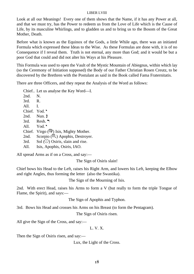Look at all our Meanings! Every one of them shows that the Name, if it has any Power at all, and that we must try, has the Power to redeem us from the Love of Life which is the Cause of Life, by its masculine Whirlings, and to gladden us and to bring us to the Bosom of the Great Mother, Death.

Before what is known as the Equinox of the Gods, a little While ago, there was an initiated Formula which expressed these Ideas to the Wise. As these Formulas are done with, it is of no Consequence if I reveal them. Truth is not eternal, any more than God; and it would be but a poor God that could and did not alter his Ways at his Pleasure.

This Formula was used to open the Vault of the Mystic Mountain of Abiegnus, within which lay (so the Ceremony of Initiation supposed) the Body of our Father Christian Rosen Creutz, to be discovered by the Brethren with the Postulant as said in the Book called Fama Fraternitatis.

There are three Officers, and they repeat the Analysis of the Word as follows:

Chief.. Let us analyse the Key Word—I.  $2nd$  N.  $3rd$  R. All. I. Chief. Yod.  $2nd.$  Nun.  $5$ 3rd. Resh.  $\Box$ All. Yod. Chief. Virgo  $(\hat{\mathbb{I}\mathbb{R}})$  Isis, Mighty Mother. 2nd. Scorpio ( $M$ ) Apophis, Destroyer. 3rd. Sol  $\circlearrowleft$ ) Osiris, slain and rise. All. Isis, Apophis, Osiris, IAO.

All spread Arms as if on a Cross, and say:—

The Sign of Osiris slain!

Chief bows his Head to the Left, raises his Right Arm, and lowers his Left, keeping the Elbow and right Angles, thus forming the letter (also the Swastika).

The Sign of the Mourning of Isis.

2nd. With erect Head, raises his Arms to form a V (but really to form the triple Tongue of Flame, the Spirit), and says:—

The Sign of Apophis and Typhon.

3rd. Bows his Head and crosses his Arms on his Breast (to form the Pentagram).

The Sign of Osiris risen.

All give the Sign of the Cross, and say:—

L. V. X.

Then the Sign of Osiris risen, and say:—

Lux, the Light of the Cross.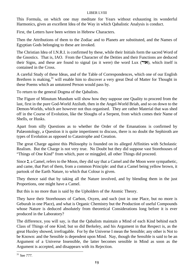This Formula, on which one may meditate for Years without exhausting its wonderful Harmonics, gives an excellent Idea of the Way in which Qabalistic Analysis is conduct.

First, the Letters have been written in Hebrew Characters.

Then the Attributions of them to the Zodiac and to Planets are substituted, and the Names of Egyptian Gods belonging to these are invoked.

The Christian Idea of I.N.R.I. is confirmed by these, while their Initials form the sacred Word of the Gnostics. That is, IAO. From the Character of the Deities and their Functions are deduced their Signs, and these are found to signal (as it were) the word Lux  $(\mathbf{m})$ , which itself is contained in the Cross.

A careful Study of these Ideas, and of the Table of Correspondences, which one of our English Brethren is making,<sup>31</sup> will enable him to discover a very great Deal of Matter for Thought in these Poems which an untutored Person would pass by.

To return to the general Dogma of the Qabalists.

The Figure of Minutum Mundum will show how they suppose one Quality to proceed from the last, first in the pure God-World Atziluth, then in the Angel-World Briah, and so on down to the Demon-Worlds, which are however not thus organised. They are rather Material that was shed off in the Course of Evolution, like the Sloughs of a Serpent, from which comes their Name of Shells, or Husks.

Apart from silly Questions as to whether the Order of the Emanations is confirmed by Palæontology, a Question it is quite impertinent to discuss, there is no doubt the Sephiroth are types of Evolution as opposed to Catastrophe and Creation.

The great Charge against this Philosophy is founded on its alleged Affinities with Scholastic Realism. But the Charge is not very true. No Doubt but they did suppose vast Storehouses of "Things of One Kind" from which, pure or minggled, all other Things did proceed.

Since  $\Box$ , a Camel, refers to the Moon, they did say that a Camel and the Moon were sympathetic, and came, that Part of them, from a common Principle: and that a Camel being yellow brown, it partook of the Earth Nature, to which that Colour is given.

They thence said that by taking all the Nature involved, and by blending them in the just Proportions, one might have a Camel.

But this is no more than is said by the Upholders of the Atomic Theory.

They have their Storehouses of Carbon, Oxyen, and such (not in one Place, but no more is Geburah in one Place), and what is Organic Chemistry but the Production of useful Compounds whose Nature is deduced absolutely from theoretical Considerations long before it is ever produced in the Laboratory?

The difference, you will say, is that the Qabalists maintain a Mind of each Kind behind each Class of Things of one Kind; but so did Berkeley, and his Argument in that Respect is, as the great Huxley showed, irrefragable. For by the Universe I mean the Sensible; any other is Not to be Known: and the Sensible is dependent upon Mind. Nay, though the Sensible is said to be an Argument of a Universe Insensible, the latter becomes sensible in Mind as soon as the Argument is accepted, and disappears with its Rejection.

 $\overline{a}$ 

<sup>31</sup> See *777.*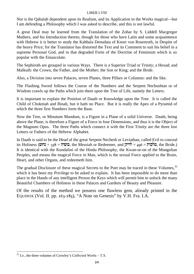Nor is the Qabalah dependent upon its Realism, and its Application to the Works magical—but I am defending a Philosophy which I was asked to describe, and this is not lawful.

A great Deal may be learned from the Translation of the Zohar by S. Liddell Macgregor Mathers, and his Introduction thereto, though for those who have Latin and some acquaintence with Hebrew it is better to study the Kabbala Denudata of Knorr von Rosenroth, in Despite of the heavy Price; for the Translator has distorted the Text and its Comment to suit his belief in a supreme Personal God, and in that degraded Form of the Doctrine of Feminism which is so popular with the Emasculate.

The Sephiroth are grouped in various Ways. There is a Superior Triad or Trinity; a Hexad; and Malkuth: the Crown, the Father, and the Mother; the Son or King; and the Bride.

Also, a Division into seven Palaces, seven Planes, three Pillars or Columns: and the like.

The Flashing Sword follows the Course of the Numbers and the Serpent Nechushtan or of Wisdom crawls up the Paths which join them upon the Tree of Life, namely the Letters.

It is important to explain the Position of Daath or Knowledge upon the Tree. It is called the Child of Chokmah and Binah, but it hath no Place. But it is really the Apex of a Pyramid of which the three first Numbers form the Base.

Now the Tree, or Minutum Mundum, is a Figure in a Plane of a solid Universe. Daath, being above the Plane, is therefore a Figure of a Force in four Dimensions, and thus it is the Object of the Magnum Opus. The three Paths which connect it with the First Trinity are the three lost Letters or Fathers of the Hebrew Alphabet.

In Daath is said to be the Head of the great Serpent Nechesh or Leviathan, called Evil to conceal its Holiness (בהש $=$  358 = לוירז  $\approx$ , the Messiah or Redeemer, and  $\frac{1}{2}$ ליות, the Bride.) It is identical with the Kundalini of the Hindu Philosophy, the Kwan-se-on of the Mongolian Peoples, and means the magical Force in Man, which is the sexual Force applied to the Brain, Heart, and other Organs, and redeemeth him.

The gradual Disclosure of these magical Secrets to the Poet may be traced in these Volumes,  $32$ which it has been my Privilege to be asked to explain. It has been impossible to do more than place in the Hands of any intelligent Person the Keys which will permit him to unlock the many Beautiful Chambers of Holiness in these Palaces and Gardens of Beauty and Pleasure.

Of the results of the method we possess one flawless gem, already printed in the EQUINOX (Vol. II. pp. 163-185), "A Note on Genesis" by V.H. Fra. I.A.

<sup>32</sup> *I.e.*, the three volumes of Crowley's *Collected Works* – T.S.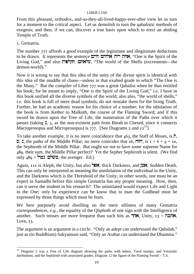From this pleasant, orthodox, and-so-they-all-lived-happy-ever-after view let us turn for a moment to the critical aspect. Let us demolish in turn the qabalistic methods of exegesis; and then, if we can, discover a true basis upon which to erect an abiding Temple of Truth.

1. Gematria.

-

The number 777 affords a good example of the legitimate and illegitimate deductions to be drawn. It represents the sentence האחת רוח אלחים איים, "One is the Spirit of the Living God," and also נשלאהם הקלפות "The world of the Shells (excrements—the demon-world)."

Now it is wrong to say that this idea of the unity of the divine spirit is identical with this idea of the muddle of chaos—unless in that exalted grade in which "The One is the Many." But the compiler of Liber 777 was a great Qabalist when he thus entitled his book; for he meant to imply, "One is the Spirit of the Living God," *i.e.* I have in this book unified all the diverse symbols of the world; also also, "the world of shells," *i.e.* this book is full of mere dead symbols; do not mistake them for the living Truth. Further, he had an academic reason for his choice of a number; for the tabulation of the book is from Kether to Malkuth, the course of the Flaming Sword; and if this sword be drawn upon the Tree of Life, the numeration of the Paths over which it passes (taking  $\overline{a}$ ,  $\overline{a}$ , as the non-existent path from Binah to Chesed, since it connects Macroprosopus and Microprosopus) is 777. [See Diagrams 2 and 12<sup>33</sup>]

To take another example, it is no mere coincidence that  $463$ , the Staff of Moses, is  $\overline{r}$ , **כ, a**, the paths of the Middle Pillar; no mere coincides that  $26$ ,  $\pi$  $\pi$ , is  $1 + 6 + 9 + 10$ , the Sephiroth of the Middle Pillar. But ought we not to have some supreme Name for 489, their sum, the Middle Pillar perfect? Yet the Sepher Sephiroth is silent. (We find only  $489 = 1$ משלם גמול, the avenger. Ed.)

Again, 111 is Aleph, the Unity, but also  $\overleftrightarrow{28}$ , thick Darkness, and  $\overleftrightarrow{28}$ , Sudden Death. This can only be interpreted as meaning the annihilation of the individual in the Unity, and the Darkness which is the Threshold of the Unity; in other words, one must be an expert in Samadhi before this simple Gematria has any proper meaning. How, then, can it serve the student in his research? The uninitiated would expect Life and Light in the One; only by experience can he know that to man the Godhead must be expressed by those things which most he fears.

We here purposely avoid dwelling on the mere silliness of many Gematria correspondences, *e.g.*, the equality of the Qliphoth of one sign with the Intelligence of another. Such misses are more frequent than such hits as **הוכה**  $\mathbf{R}$ , Unity,  $\mathbf{R} = \mathbf{R} \mathbf{S}$ , Love, 13.

The argument is an argument in a circle. "Only an adept can understand the Qabalah," just as (in Buddhism) Sakyamuni said, "Only an Arahat can understand the Dhamma."

<sup>33</sup> Diagram 2 was a Tree of Life diagram showing the paths with letters, Tarot trumps, and Yetziratic attributions, and the Sephiroth with associated grades; Diagram 12 the figure of the Flaming Sword – T.S.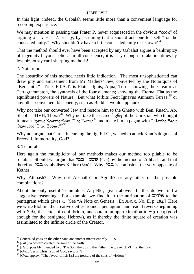In this light, indeed, the Qabalah seems little more than a convenient language for recording experience.

We may mention in passing that Frater P. never acquiesced in the obvious "cook" of arguing  $x = y + i$  ∴  $x = y$ , by assuming that *x* should add one to itself "for the concealed unity." Why shouldn't *y* have a little concealed unity of its own?<sup>34</sup>

That the method should ever have been accepted by any Qabalist argues a bankruptcy of ingenuity beyond belief. In all conscience, it is easy enough to fake identities by less obviously card-sharping methods!

2. Notariqon.

The absurdity of this method needs little indication. The most unsophisticated can draw pity and amusement from Mr Mathers' Jew, converted by the Notariqons of "Berashith." True, F.I.A.T. is Flatus, Ignis, Aqua, Terra; showing the Creator as Tetragrammaton, the synthesis of the four elements; showing the Eternal Fiat as the equilibrated powers of Nature. But what forbits Fecit Ignavus Animam Terrae,  $35$  or any other convenient blasphemy, such as Buddha would applaud?

Why not take our converted Jew and restore him to the Ghetto with Ben, Ruach, Ab, Sheol!—IHVH, Thora?<sup>36</sup> Why not take the sacred 'I<sub> $\chi$ </sub> full of the Christian who thought it meant Ingoug Xelotog Oeou 'Yiog  $\sum \omega \tau \eta \rho^{37}$  and make him a pagan with " 'Igidog Zapig  $\Theta$ noavooc 'Yuwn Zobiac"? $38$ 

Why not argue that Christ in cursing the fig, F.I.G., wished to attack Kant's dogmas of Freewill, Immortality, God?

3. Temurah.

 $\overline{a}$ 

Here again the multiplicity of our methods makes our method too pliable to be reliable. Should we argue that  $\sum = \pm \infty$  (620) by the method of Athbash, and that therefore  $\sum$  symbolises Kether (620)? Why,  $\sum$  is confusion, the very opposite of Kether.

Why Athbash? Why not Abshath? or Agrath? or any other of the possible combinations?

About the only useful Temurah is Aiq Bkr, given above. In this do we find a suggestive reasoning. For example, we find it in the attribution of  $\mathbf{S} \setminus \mathbf{S}$  to the pentagram which gives  $\pi$ . [See "A Note on Genesis", EQUINOX, No. II. p. 184.] Here we write Elohim, the creative deities, round a pentagram, and read it reverse beginning with  $\frac{1}{2}$ ,  $\frac{1}{2}$ , the letter of equilibrium, and obtain an approximation to  $\pi$  3.1415 (good enough for the benighted Hebrew), as if thereby the finite square of creation was assimilated to the infinite circle of the Creator.

 $34$  Concealed *yods* on the other hand are another matter entirely  $-$  T.S.

<sup>&</sup>lt;sup>35</sup> [*Lat.*, "a coward created the soul of the earth."]

<sup>[</sup>*Heb.*, possibly intended for: "The Son, the Spirit, the Father, the grave: IHVH [is] the Law."]

<sup>&</sup>lt;sup>37</sup> [*Grk.*, "Jesus Christ, son of God, saviour."]

<sup>38</sup> [*Grk*., approx. "The favour of Isis [is] the treasure of the sons of wisdom."]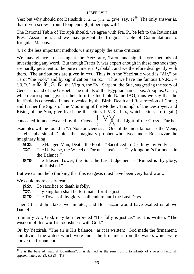Yes: but why should not Berashith 2, 2, 1, 3, 1, 4, give, say,  $e^{i}$ <sup>39</sup> The only answer is, that if you screw it round long enough, it perhaps will!

The Rational Table of Tziruph should, we agree with Fra. P., be left to the Rationalist Press Association, and we may present the Irregular Table of Commutations to Irregular Masons.

4. To the less important methods we may apply the same criticism.

We may glance in passing at the Yetziratic, Tarot, and signifactory methods of investigating any word. But though Frater P. was expert enough in these methods they are hardly pertinent to the pure numerical Qabalah, and we therefore deal gently with them. The attributions are given in  $777$ . Thus  $\mathcal{S}$  in the Yetziratic world is "Air," by Tarot "the Fool," and by signification "an ox." Thus we have the famous I.N.R.I.  $=$ y.  $\cdot$ ,  $\cdot$  =  $\mathfrak{m}$ ,  $\mathfrak{m}$ ,  $\odot$ ,  $\mathfrak{m}$ ; the Virgin, the Evil Serpent, the Sun, suggesting the story of Genesis ii. and of the Gospel. The initials of the Egyptian names Isis, Apophis, Osiris, which correspond, give in their turn the Ineffable Name IAO; thus we say that the Ineffable is concealed in and revealed by the Birth, Death and Resurrection of Christ; and further the Signs of the Mourning of the Mother, Triumph of the Destroyer, and Rising of the Son, give by shape the letters L.V.X., Lux, which letters are (again)

concealed in and revealed by the Cross the Light of the Cross. Further

examples will be found in "A Note on Genesis." One of the most famous is the Mene, Tekel, Upharsin of Daniel, the imaginary prophet who lived under Belshazzar the imaginary king.

- **SID.** The Hanged Man, Death, the Fool = "Sacrificed to Death by thy Folly."
- lkt. The Universe, the Wheel of Fortune, Justice = "Thy kingdom's fortune is in the Balance."
- **cre** The Blasted Tower, the Sun, the Last Judgement = "Ruined is thy glory, and finished."

But we cannot help thinking that this exegesis must have been very hard work.

We could more easily read

- $\mathbf{S}$ . To sacrifice to death is folly.
- הבל. Thy kingdom shall be fortunate, for it is just.
- **cry** The Tower of thy glory shall endure until the Last Days.

There! that didn't take two minutes; and Belshazzar would have exalted us above Daniel.

Similarly AL, God, may be interpreted "His folly is justice," as it is written: "The wisdom of this word is foolishness with God."

Or, by Yetzirah, "The air is His balance," as it is written: "God made the firmament, and divided the waters which were under the firmament from the waters which were above the firmament."

 $\overline{a}$ 39  $e$  is the base of "natural logarithms"; it is defined as the sum from  $\alpha$  to infinity of  $\alpha$  over *n* factorial; approximately  $2.718281828 - T.S.$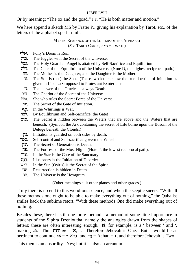Or by meaning: "The ox and the goad," *i.e.* "He is both matter and motion."

We here append a sketch MS by Frater P., giving his explanation by Tarot, etc., of the letters of the alphabet spelt in full.

# MYSTIC READINGS OF THE LETTERS OF THE ALPHABET (*See* TAROT CARDS, *AND MEDITATE*)

- $\mathbb{R}^{\mathbb{Z}}$ ה: Folly's Doom is Ruin
- בית. The Juggler with the Secret of the Universe.
- $\frac{1}{2}$ . The Holy Guardian Angel is attained by Self-Sacrifice and Equilibrium.
- דלת. The Gate of the Equilibrium of the Universe. (Note D, the highest reciprocal path.)
- hh. The Mother is the Daughter; and the Daughter is the Mother.
- $\ddot{\mathbb{R}}$ . The Son is (but) the Son. (These two letters show the true doctrine of Initiation as given in Liber 418; opposed to Protestant Exotericism.
- }yz. The answer of the Oracles is always Death.
- tyj. The Chariot of the Secret of the Universe.
- tyf. She who rules the Secret Force of the Universe.
- The Secret of the Gate of Initiation.
- ר בקי $\frac{1}{\sqrt{2}}$ . In the Whirlings is War.
- By Equilibrium and Self-Sacrifice, the Gate!
- \ym. The Secret is hidden between the Waters that are above and the Waters that are beneath. (Symbol, the Ark containing the secret of Life borne upon the Bosom of the Deluge beneath the Clouds.)
- $\text{N}$ . Initiation is guarded on both sides by death.
- ]ms. Self-control and Self-sacrifice govern the Wheel.
- }yu. The Secret of Generation is Death.
- hp. The Fortress of the Most High. (Note P, the lowest reciprocal path).
- $\mathbf{x}$ . In the Star is the Gate of the Sanctuary.
- [wq. Illusionary is the Initiation of Disorder.
- ריש. In the Sun (Osiris) is the Secret of the Spirit.
- $\mathbf{w}$ . Resurrection is hidden in Death.
- תו. The Universe is the Hexagram.

(Other meanings suit other planes and other grades.)

Truly there is no end to this wondrous science; and when the sceptic sneers, "With all these methods one ought to be able to make everything out of nothing," the Qabalist smiles back the sublime retort, "With these methods One did make everything out of nothing."

Besides these, there is still one more method—a method of some little importance to students of the Siphra Dzenioutha, namely the analogies drawn from the shapes of letters; these are often interesting enough.  $\aleph$ , for example, is a *f* between *f* and *f*, making 26. Thus יהוה 26 =  $\mathcal{S}$ , I. Therefore Jehovah is One. But it would be as pertinent to continue  $26 = 2 \times 13$ , and  $13 =$ Achad = 1, and therefore Jehovah is Two.

This then is an absurdity. Yes; but it is also an arcanum!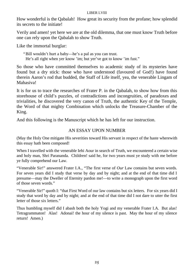How wonderful is the Qabalah! How great its security from the profane; how splendid its secrets to the initiate!

Verily and amen! yet here we are at the old dilemma, that one must know Truth before one can rely upon the Qabalah to show Truth.

Like the immortal burglar:

"Bill wouldn't hurt a baby—he's a pal as you can trust.

He's all right when yer know 'im; but yer've got to know 'im fust."

So those who have committed themselves to academic study of its mysteries have found but a dry stick: those who have understood (favoured of God!) have found therein Aaron's rod that budded, the Staff of Life itself, yea, the venerable Lingam of Mahasiva!

It is for us to trace the researches of Frater P. in the Qabalah, to show how from this storehouse of child's puzzles, of contradictions and incongruities, of paradoxes and trivialities, he discovered the very canon of Truth, the authentic Key of the Temple, the Word of that mighty Combination which unlocks the Treasure-Chamber of the King.

And this following is the Manuscript which he has left for our instruction.

# AN ESSAY UPON NUMBER

(May the Holy One mitigate His severities toward His servant in respect of the haste wherewith this essay hath been composed!

When I travelled with the venerable Iehi Aour in search of Truth, we encountered a certain wise and holy man, Shri Parananda. Children! said he, for two years must ye study with me before ye fully comprehend our Law.

"Venerable Sir!" answered Frater I.A., "The first verse of *Our* Law contains but seven words. For seven years did I study that verse by day and by night; and at the end of that time did I presume—may the Dweller of Eternity pardon me!—to write a monograph upon the first word of those seven words."

"Venerable Sir!" quoth I: "that First Word of our law contains but six letters. For six years did I study that word by day and by night; and at the end of that time did I not dare to utter the first letter of those six letters."

Thus humbling myself did I abash both the holy Yogi and my venerable Frater I.A. But alas! Tetragrammaton! Alas! Adonai! the hour of my silence is past. May the hour of my silence return! Amen.)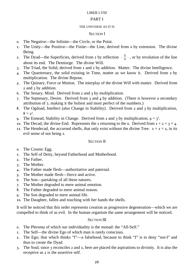# PART I

# THE UNIVERSE AS IT IS

# **SECTION I**

- 0. The Negative—the Infinite—the Circle, or the Point.
- 1. The Unity—the Positive—the Finite—the Line, derived from 0 by extension. The divine Being.
- 2. The Dyad—the Superficies, derived from 1 by reflection  $\frac{1}{1}$ , or by revolution of the line about its end. The Demiurge. The divine Will.
- 3. The Triad, the Solid, derived from 1 and 2 by addition. Matter. The divine Intelligence.
- 4. The Quarternary, the solid existing in Time, matter as we know it. Derived from 2 by multiplication. The divine Repose.
- 5. The Quinary, Force or Motion. The interplay of the divine Will with matter. Derived from 2 and 3 by addition.
- 6. The Senary, Mind. Derived from 2 and 3 by multiplication.
- 7. The Septenary, Desire. Derived from 3 and 4 by addition. (There is however a secondary attribution of 7, making it the holiest and most perfect of the numbers.)
- 8. The Ogdoad, Intellect (also Change in Stability). Derived from 2 and 3 by multiplication,  $8 = 2^3$ .
- 9. The Ennead, Stability in Change. Derived from 2 and 3 by multiplication,  $9 = 3^2$ .
- 10. The Decad, the divine End. Represents the 1 returning to the 0. Derived from  $1 + 2 + 3 + 4$ .
- 11. The Hendecad, the accursed shells, that only exist without the divine Tree.  $1 + 1 = 2$ , in its evil sense of not being 1.

# SECTION II

- 0. The Cosmic Egg.
- 1. The Self of Deity, beyond Fatherhood and Motherhood.
- 2. The Father.
- 3. The Mother.
- 4. The Father made flesh—authoritative and paternal.
- 5. The Mother made flesh—fierce and active.
- 6. The Son—partaking of all these natures.
- 7. The Mother degraded to mere animal emotion.
- 8. The Father degraded to mere animal reason.
- 9. The Son degraded to mere animal life.
- 10. The Daughter, fallen and touching with her hands the shells.

It will be noticed that this order represents creation as progressive degeneration—which we are compelled to think of as evil. In the human organism the same arrangement will be noticed.

# **SECTION III**

- 0. The Pleroma of which our individuality is the monad: the "All-Self."
- 1. The Self—the divine Ego of which man is rarely conscious.
- 2. The Ego; that which thinks "I"—a falsehood, because to think "I" is to deny "not-I" and thus to create the Dyad.
- 3. The Soul; since 3 reconciles 2 and 1, here are placed the aspirations to divinity. It is also the receptive as 2 is the assertive self.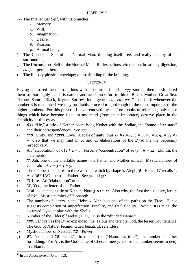4-9.The Intellectual Self, with its branches:

- 4. Memory.
- 5. Will.
- 6. Imagination.
- 7. Desire.
- 8. Reason.
- 9. Animal being.
- 6. The Conscious Self of the Normal Man: thinking itself free, and really the toy of its surroundings.
- 9. The Unconscious Self of the Normal Man. Reflex actions, circulation, breathing, digestion, *etc.*, all pertain here.
- 10. The illusory physical envelope; the scaffolding of the building.

# SECTION IV

Having compared these attributions with those to be found in 777, studied them, assimilated them so thoroughly that it is natural and needs no effort to think "Binah, Mother, Great Sea, Throne, Saturn, Black, Myrrh, Sorrow, Intelligence, *etc. etc. etc.*," in a flash whenever the number 3 is mentioned, we may profitably proceed to go through to the most important of the higher numbers. For this purpose I have removed myself from books of reference; only those things which have become fixed in my mind (from their importace) deserve place in the simplicity of this essay.

- $12.$  **N**. "He," a title of Kether, identifying Kether with the Zodiac, the "home of  $12$  stars" and their correspondences. See 777.
- 13. Unity, and  $\vec{a}$  Nove. A scale of unity; thus  $13 \times 1 = 1$ ;  $26 = 13 \times 2 = 2$ ;  $91 = 13 \times 7$  $= 7$ ; so that we may find in 26 and  $\alpha I$  elaborations of the Dyad the the Septenary respectively.
- 14. An "elaboration" of  $5$  (1 + 4 = 5), Force; a "concentration" of 86 (8 + 6 = 14), Elohim, the 5 elements.
- 15.  $\pi$ , Jah, one of the ineffable names; the Father and Mother united. Mystic number of Geburah:  $1 + 2 + 3 + 4 + 5$ .
- 17. The number of squares in the Swastika, which by shape is Aleph,  $\aleph$ . Hence 17 recalls 1. Also  $\mathbb{N}$ , IAO, the triue Father. See 32 and 358.
- 18. T. Life. An "elaboration" of 9.
- 20.  $\blacksquare$ , Yod, the letter of the Father.
- 21. **אחדה**, existence, a title of Kether. Note  $3 \times 7 = 21$ . Also why, the first three (active) letters of hwhy. Mystic number of Tiphareth.
- 22. The number of letters in the Hebrew Alphabet; and of the paths on the Tree. Hence suggests completion of imperfection, Finality, and fatal finality. Note  $2 \times I$   $I = 22$ , the accursed Dyad at play with the Shells.
- 24. Number of the Elders;<sup>40</sup> and =  $72 \div 3$ . 72 is the "divided Name."
- 26. hwhy. Jehovah as the Dyad expanded, the jealous and terrible God, the lesser Countenance. The God of Nature, fecund, cruel, beautiful, relentless.
- 28. Mystic number of Netzach,  $\Box$ , "Power."
- 31.  $\mathbb{R}^2$ , "not"; and  $\mathbb{R}$ . "God." In this Part I. ("Nature as it is") the number is rather forbidding. For AL is the God-name of Chesed, mercy; and so the number seems to deny that Name.

 $\overline{a}$ 

 $40$  In the Apocalpyse of John – T.S.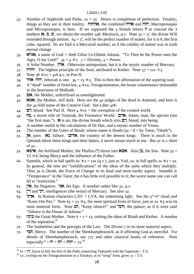- 32. Number of Sephiroth and Paths,  $I_0 + 22$ . Hence is completion of perfection. Finality: things as they are in their totality. http://www.the combined hyminings and hyminings and hymosopus and Microprosopus, is here. If we supposed the 3 female letters  $\overline{n}$  to conceal the 3 mothers **N**,  $\triangleright$ ,  $\triangleright$ , we obtain the number 358, Messiach, *q.v.* Note 32 = 2<sup>5</sup>, the divine Will extended through motion.  $64 = 2^6$ , will be the perfect number of matter, for it is 8, the first cube, squared. So we find it a Mercurial number, as if the solidity of matter was in truth eternal change.
- 35. **A** $\hat{\mathbf{X}}$ **X**, a name of God = Ateh Gibor Le-Olahm Adonai. "To Thee be the Power unto the Ages, O my Lord!"  $35 = 5 \times 7$ .  $7 =$  Divinity,  $5 =$  Power.
- 36. A Solar Number.  $\overrightarrow{TS}$ . Otherwise unimportant, but it is the mystic number of Mercury.
- $37.$   $\overline{37}$ . The highest principle of the Soul, attributed to Kether. Note  $37 = 111 \div 3$ .
- 38. Note  $38 \times 11 = 418$  *q.v.* in Part II.
- 39. האדה לאדד, Jehovah is one. 39 = 13  $\times$  3. This is then the affirmation of the aspiring soul.
- 40. A "dead" number of fixed law,  $4 \times 10$ , Tetragrammaton, the lesser countenance immutable in the heaviness of Malkuth.
- $41. \quad \Box$ . the Mother, unfertilised as unenlightened.
- 42. **SCN**, the Mother, still dark. Here are the 42 judges of the dead in Amennti, and here is the 42-fold name of the Creative God. See Liber 418.
- 44.  $\Box$ , blood. See Part II. Here  $4 \times 11 =$  the corruption of the created world.
- 45. מה, a secret title of Yetzirah, the Formative World. **בארב**, Adam, man, the species (not "the first man."). **S** is air, the divine breath which stirs  $\Box$ , blood, into being.
- 49. A number useful in the calculations of Dr Dee, and a mystic number of Venus.
- 50. The number of the Gates of Binah, whose name is Death ( $50 = \frac{1}{2} =$  by Tarot, "Death").
- $51.$   $\%$ , pain.  $\%$ , failure.  $\Box \%$ , the country of the demon kings. There is much in the Oabalah about these kings and their dukes; it never meant much to me. But  $\tau$  is 1 short of 52.
- 52. Also  $\sum$ , the fertilised Mother, the Phallus (\*) thrust into  $\sum$ . Also  $\sum$ , the Son. Note 52 =  $13 \times 4$ , being Mercy and the influence of the Father.
- 60. Samekh, which in full spells  $60 \times 2 = 120$  (*q.v.*), just as Yod, 10, in full spells  $10 \times 2 = 20$ . In general, the tens are "solidifications" of the ideas of the units which they multiply. Thus 50 is Death, the Force of Change in its final and most earthy aspect. Samekh is "Temperance" in the Tarot: the 6 has little evil possible to it; the worst name one can call 60 is "restriction."
- 61. **(8)** St. the Negative. **18**, the Ego. A number rather like 31, *q.v.*
- $64.$   $\overline{7}$  and  $\overline{7}$ , intelligences (the twins) of Mercury. See also 32.
- 65. **XX:** In Roman characters LXV = LVX, the redeeming light. See the  $5^{\circ} = 6^{\circ}$  ritual and "Konx Om Pax." Note  $65 = 13 \times 5$ , the most spiritual form of force, just as  $10 \times 5$  was its most material form. Note הלב? "Keep silence!" and היבל, the palace; as if it were said "Silence is the House of Adonai."
- $67.$  בינה the Great Mother. Note  $6 + 7 = 13$ , uniting the ideas of Binah and Kether. A number of the aspiration.<sup>41</sup>
- 70. The Sanhedrim and the precepts of the Law. The Divine 7 in its most material aspect.
- 72. dsj, Mercy. The number of the Shemhamphorasch, as if affirming God as merciful. For details of Shemhamphorasch, see 777 and other classical books of reference. Note  $\text{especially}$  להוה $+$  יהו $+$  יהו $+$  + יהו $=$  72. $^{42}$

 $41$  67 =  $\gamma$ , Zayin in full, the first of the Paths connecting Tiphareth with the Supernals – T.S.

 $42$  *i.e.*, writing out the Tetragrammaton as a Tetrakys, or in "wing" form, gives  $72 - T.S$ .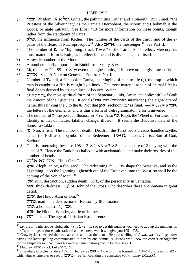- 73. **FIGOM.** Also **.5.** Gimel, the path uniting Kether and Tiphereth. But Gimel, "the Priestess of the Silver Star," is the Female Hierophant, the Moon; and Chokmah is the Logos, or male initiator. See Liber 418 for more information on these points, though rather from the standpoint of Part II.
- 78.  $\bullet$ 78.  $\bullet$   $\bullet$  Tarot, the influence from Kether. The number of the cards of the Tarot, and of the 13 paths of the Beard of Macroprosopus.<sup>43</sup> Also **ENTN**, the messenger.<sup>44</sup> See Part II.
- 80. The number of **D**, the "lightning-struck Tower" of the Tarot.  $8 =$  Intellect, Mercury; its most material form is Ruin, as Intellect in the end is divided against itself.
- 81. A mystic number of the Moon.
- 84. A number chiefly important in Buddhism.  $84 = 7 \times 12$ .
- 85. **h**, the letter Pé.  $85 = 5 \times 17$ : even the highest unity, if it move or energise, means War.
- 86. \yhla. See "A Note on Genesis," EQUINOX, No. II.
- 90. Number of Tzaddi, a fishhook  $=$  Tanha, the clinging of man to life (9), the trap in which man is caught as a fish is caught by a hook. The most material aspect of animal life; its final doom decreed by its own lust. Also  $\square$ האו $\blacksquare$ . Water.
- 91. 91 = 7 x 13, the most spiritual form of the Septenary.  $\sharp \mathbb{R}$ , Amen, the holiest title of God; the Amoun of the Egyptians. It equals יאהרונהי) יהוה ארני $\cdot$ , interlaced), the eight-lettered name, thus linking the 7 to the 8. Not that  $\sum$  (recknoning  $\sum$  as final, 700) = 741 =  $\sum$   $\sum$ the letters of the elements; and is thus a form of Tetragrammaton, a form unveiled.
- 100. The number of  $\bar{p}$ , the perfect illusion, 10  $\times$  10. Also  $\bar{p}$ , Kaph, the Wheel of Fortune. The identity is that of matter, fatality, change, illusion. It seems the Buddhist view of the Samsara-Cakkram.
- 106. }wn, Nun, a fish. The number of death. Death in the Tarot bears a cross-handled scythe; hence the Fish as the symbol of the Redeemer. IXOT $\Sigma$  = Jesus Christ, Son of God, Saviour.
- 108. Chiefly interesting because  $108 = 2 \times 2 \times 3 \times 3 \times 3 =$  the square of 2 playing with the cube of 3. Hence the Buddhists hailed it with acclamation, and make their rosaries of this number of beads.
- 111. הוא אלחים "He is One God."

 $\sum$  **[x]**, Aleph, an ox, a thousand. The redeeming Bull. By shape the Swastika, and so the Lightning. "As the lightning ligheneth out of the East even unto the West, so shall be the coming of the Son of Man."<sup>45</sup>

 $\sum$ , ruin, destruction, sudden death. *Scil.*, of the personality in Samadhi.

lpa, thick darkness. *Cf.* St. John of the Cross, who describes these phenomena in great detail.

אעם: the Hindu Aum or Om. $^{46}$ 

 $\sum$ הולל, mad—the destruction of Reason by Illumination.

 $\mathbf{H}$ שולה. a holocaust. *Cf.*  $\mathbf{S}$ 

**a**: the Hidden Wonder, a title of Kether.

114. umd, a tear. The age of Christian Rosenkreutz.

<sup>&</sup>lt;sup>43</sup> *i.e.* the 13 paths above Tiphareth. 78 is  $\Sigma$  (1 – 12) so to get this number you need to add up the numbers on the Tarot trumps of those paths rather than the letters, which will give you 105 – T.S.

<sup>44</sup> Crowley later decided this was an error and that the actual Hebrew spelling of Aiwaz was  $\pi \mathbf{v} = 93$ , after having the latter spelling communicated to him by one Samuel A. Jacobs who knew the correct orthography for the simple reason that it was his middle name (patronymic, to be precise) – T.S.

<sup>&</sup>lt;sup>45</sup> Matthew XXIV.27; cf. Luke XVII, 24.

<sup>&</sup>lt;sup>46</sup> Elsewhere Crowley renders AUM in Hebrew as  $\Box \cong$  = 47, *e.g.* in the formula of AUMGN discussed in *MTP*, which thus enumerates to 100, or  $\Box$ **WE** = 93 (not counting the concealed *yod*) in *Liber DCLXXI*.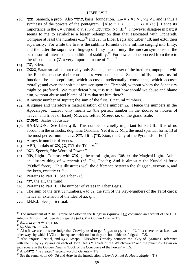- 120. **הוכד**י Samech, a prop. Also **הוכדי b**asis, foundation. 120 = 1 × 2 × 3 × 4 × 5, and is thus a synthesis of the powers of the pentagram. [Also  $1 + 2 + \ldots + 15 = 120$ .] Hence its importance in the  $5 = 6$  ritual, q.v. *supra* EQUINOX, No. III.<sup>47</sup> I however disagree in part; it seems to me to symbolise a lesser redemption than that associated with Tiphereth. Compare at least the numbers  $0.12^{48}$  and  $210$  in Liber Legis and Liber 418, and extol their superiority. For while the first is the sublime formula of the infinite surging into finity, and the latter the supreme rolling-up of finity into infinity, the 120 can symbolise at the best a sort of intermediate condition of stability.<sup>49</sup> For how can one proceed from the 2 to the 0? 120 is also  $\ddot{\mathbf{v}}$ , a very important name of God.<sup>50</sup>
- 124.  $\sqrt{2}$ , Eden.
- 131. lams, Satan so-called, but really only Samael, the accuser of the brethren, unpopular with the Rabbis because their consciences were not clear. Samael fulfils a most useful function; he is scepticism, which accuses intellectually; conscience, which accuses morally; and even that spiritual accuser upon the Threhold, without whom the Sanctuary might be profaned. We must defeat him, it is true; but how should we abuse and blame him, without abuse and blame of Him that set him there?
- 136. A mystic number of Jupiter; the sum of the first 16 natural numbers.
- 144. A square and therefore a materialisation of the number 12. Hence the numbers in the Apocalypse. 144,000 only means 12 (the perfect number in the Zodiac or houses of heaven and tribes of Israel)  $\times$  12, *i.e.* settled  $\times$  1000, *i.e.* on the grand scale.
- $148.$  באזנים, Scales of Justice.
- 156. BABALON. See Liber 418. This number is chiefly important for Part II. It is of no account in the orthodox dogmatic Oabalah. Yet it is  $12 \times 13$ , the most spiritual form, 13 of the most perfect number,  $12$ , און. [It is  $\gamma x$ , Zion, the City of the Pyramids.—Ed.]<sup>51</sup>
- 175. A mystic number of Venus.
- 203. ABR, initials of הוה, בן, הוה, the Trinity.<sup>52</sup>
- 206. רבר, Speech, "the Word of Power."
- 207. **Right.** Contrast with  $\sum \mathbb{R}$ , 9, the astral light, and  $\sum \mathbb{R}$ , 11, the Magical Light. Aub is an illusory thing of witchcraft  $(cf.$  Obi, Obeah); Aud is almost  $=$  the Kundalini force ("Odic" force). This illustrates well the difference between the sluggish, viscous 9, and the keen, ecstatic  $11^{53}$
- 210. Pertains to Part II. See Liber 418.
- $214$ .  $\Box$  $\Box$ , the air, the mind.
- 220. Pertains to Part II. The number of verses in Liber Legis.
- 231. The sum of the first 22 numbers, 0 to 21; the sum of the Key-Numbers of the Tarot cards; hence an extension of the idea of 22, *q.v.*
- 270. I.N.R.I. See  $5 = 6$  ritual.

 $\overline{a}$ 

<sup>47</sup> The installment of "The Temple of Solomon the King" in *Equinox* I (3) contained an account of the G.D. Adeptus Minor ritual. See also Regardie (ed.), *The Golden Dawn –* T.S.

AL I. 24-25;  $6 \div 50 = 0.12$ .

<sup>49</sup> *Cf.* Gen VI. 3 – T.S.

<sup>&</sup>lt;sup>50</sup> Also if we use the same fudge that Crowley used to get *Logos* to 93,  $120 = \frac{1}{2}$ , Lux (there are at least two other ways by which LVX can be equated with  $120$  but they are both hideous fudges) – T.S.

<sup>51</sup> Also laqzjy, Ezekiel, and [swy, Joseph. Elsewhere Crowley connects the "City of Pyramids" reference with the 12 by 13 squares on each of John Dee's "Tablets of the Watchtowers" and the pyramids drawn on each square in the Golden Dawn's "Book of the Concourse of the Forces" – T.S.

 $52$  Also  $\overline{\bullet}$ . "he created", second word of Genesis – T.S.

<sup>53</sup> See the remarks on *Ob*, *Od* and *Aour* in the introduction to Levi's *Rituel de Haute Magie* – T.S.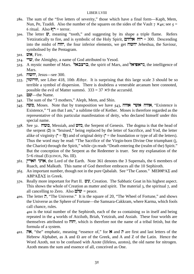- 280. The sum of the "five letters of severity," those which have a final form—Kaph, Mem, Nun, Pe, Tzaddi. Also the number of the squares on the sides of the Vault  $7 \times 40$ ; see  $5 =$  $6$  ritual. Also  $\Box$  = terror.
- 300. The letter  $\mathbf{w}$ , meaning "tooth," and suggesting by its shape a triple flame. Refers Yetziratically to fire, and is symbolic of the Holy Spirit,  $\sum_{n=1}^{\infty}$   $\pi$  = 300. Descending into the midst of hwhy, the four inferior elements, we get hwchy Jeheshua, the Saviour, symbolised by the Pentagram.
- 301. **28.** Fire.
- $314.$  **W**, the Almighty, a name of God attributed to Yesod.
- 325. A mystic number of Mars. ברצבאל, the spirit of Mars, and גראפיאל, the intelligence of Mars.
- 326. השוה, Jesus—see 300.
- הורונזון. see Liber 418, 10th Æthyr. It is surprising that this large scale 3 should be so terrible a symbol of dispersion. There is doubtless a venerable arcanum here connoted, possible the evil of Matter summó.  $333 = 37 \times 9$  the accurséd.
- $340.$   $\Box \ddot{w}$ —the Name.
- 341. The sum of the "3 mothers," Aleph, Mem, and Shin.
- 345. השה באשה, Moses. Note that by transposition we have 543, האחדה האשר  $\mathbf{\hat{x}}$ , "Existence is Existence," "I am that I am," a sublime title of Kether. Moses is therefore regarded as the representative of this particular manifestation of deity, who declared himself under this special name.
- 358. See 32. jych, Messiah, and יהוש ithe Serpent of Genesis. The dogma is that the head of the serpent  $(2)$  is "bruised," being replaced by the letter of Sacrifice, and Yod, the letter alike of virginity ( $\hat{\mathbf{v}} = \hat{\mathbf{w}}$ ) and of original deity ( $\hat{\mathbf{v}} =$  the foundation or type of all the letters). Thus the word may be read: "The Sacrifice of the Virgin-born Divine One triumphant (j, the Chariot) through the Spirit," while cjn reads "Death entering the (realm of the) Spirit." But the conception of the Serpent as the Redeemer is truer. See my explanation of the 5=6 ritual (EQUINOX, No. III).
- 361.  $\gamma$ אדני הארץ, the Lord of the Earth. Note 361 denotes the 3 Supernals, the 6 members of Ruach, and Malkuth. This name of God therefore embraces all the 10 Sephiroth.
- $365.$  An important number, though not in the pure Qabalah. See "The Canon." MEIOPA $\Sigma$  and  $ABPAEAX$  in Greek.
- $370.$  Really more important for Part II.  $\mathbf{W}$ , Creation. The Sabbatic Goat in his highest aspect. This shows the whole of Creation as matter and spirit. The material 3, the spiritual 7, and all cancelling to Zero. Also  $\Box \forall \mathcal{V}$  = peace.
- 400. The letter t, "The Universe." It is the square of 20, "The Wheel of Fortune," and shows the Universe as the Sphere of Fortune—the Samsara-Cakkram, where Karma, which fools call chance, rules.

400 is the total number of the Sephiroth, each of the 10 containing 10 in itself and being repeated in the 4 worlds of Atziluth, Briah, Yetzirah, and Assiah. These four worlds are themselves attributed to hwhy, which is therefore not the name of a tribal fetish, but the formula of a system.

401. The "emphatic, meaning "essence of," for  $\aleph$  and  $\hbar$  are first and last letters of the Hebrew Alphabet, as A and  $\Omega$  are of the Greek, and A and Z of the Latin. Hence the Word Azoth, not to be confused with Azote (lifeless, azotos), the old name for nitrogen. Azoth means the sum and essence of all, conceived as One.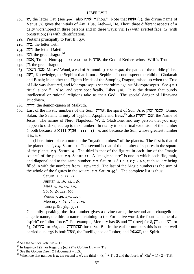- 406. Which the letter Tau (see 400), also  $\pi$ **NS.** "Thou." Note that **SFS** (7), the divine name of Venus (7) gives the initials of Ani, Hua, Ateh—I, He, Thou; three different aspects of a deity worshipped in three persons and in three ways:  $viz. (1)$  with averted face; (2) with prostration; (3) with identification.
- 418. Pertains principally to Part II., *q.v.*
- $410$ . שית. the letter Teth.
- $434.$  ללת. the letter Daleth.
- 440.  $\overrightarrow{2}$ , the great dragon.<sup>54</sup>
- $441.$  **hose**, Truth. Note  $441 = 21 \times 21$ .  $21$  is  $\pi \pi$ . the God of Kether, whose Will is Truth.
- $\overline{450}$ .  $\overline{17}$ , the great dragon.
- 463. **מבוה השקר, Moses' Wand, a rod of Almond.**  $3 + 60 + 400$ , the paths of the middle pillar.
- $474$ .  $5474$ . Knowledge, the Sephira that is not a Sephira. In one aspect the child of Chokmah and Binah; in another the Eighth Heads of the Stooping Dragon, raised up when the Tree of Life was shattered, and Macroprosopus set cherubim against Microprosopus. See  $4 = 7$ ritual *supra*. <sup>55</sup> Also, and very specifically, Liber 418. It is the demon that purely intellectual or rational religions take as their God. The special danger of Hinayana Buddhism.
- $480.$  לילית, the demon-queen of Malkuth.
- 666. Last of the mystic numbers of the Sun. שרות, the spirit of Sol. Also  $y$ עממו שתן, Ommo Satan, the Satanic Trinity of Typhon, Apophis and Besz;<sup>56</sup> also **השנה** יהשות), the Name of Jesus. The names of Nero, Napoleon, W. E. Gladstone, and any person that you may happen to dislike, add up to this number. In reality it is the final extension of the number 6, both because  $6 \times 111$  ( $\overrightarrow{B}$  =  $\overrightarrow{I}$  =  $\overrightarrow{I}$  =  $=$  1) = 6, and because the Sun, whose greatest number it is, is 6.

(I here interpolate a note on the "mystic numbers" of the planets. The first is that of the planet itself, *e.g.* Saturn, 3. The second is that of the number of squares in the square of the planet, *e.g.* Saturn, 9. The third is that of the figures in each line of the "magic square" of the planet,  $e.g.$  Saturn  $r_5$ . A "magic square" is one in which each file, rank, and diagonal add to the same number,  $e.g.$  Saturn is  $8 \text{ r } 6$ ,  $3 \text{ s } 7$ ,  $4 \text{ q } 2$ , each square being filled in with the numbers from 1 upwared. The last of the Magic numbers is the sum of the whole of the figures in the square, *e.g.* Saturn  $45$ <sup>57</sup> The complete list is thus:

> Saturn 3, 9, 15, 45. Jupiter 4, 16, 34, 136. Mars 5, 25, 65, 325. Sol 6, 36, III, 666. Venus 7, 49, 175, 1225. Mercury 8, 64, 260, 2080. Luna 9, 81, 369, 3321.

Generally speaking, the first number gives a divine name, the second an archangelic or angelic name, the third a name pertaining to the Formative world, the fourth a name of a ""spirit" or "blind force." For example, Mercury has **ה** $\ddot{\bullet}$  and  $\ddot{\bullet}$ , (love) for 8,  $\ddot{\bullet}$  and  $\ddot{\bullet}$  $64, 7$ ביריא $\,$  for 260, and הפתרתרת for 2080. But in the earlier numbers this is not so well carried out. 136 is both **יופיל**, the Intelligence of Jupiter, and **רבמא**ל, the Spirit.

<sup>54</sup> See the *Sepher Yetzirah* – T.S.

<sup>55</sup> In *Equinox* I (2), or Regardie (ed.) *The Golden Dawn* – T.S.

<sup>56</sup> See the Golden Dawn Z1 document – T.S.

<sup>&</sup>lt;sup>57</sup> When the first number is *n*, the second is  $n^2$ , the third  $n \times (n^2 + 1) / 2$  and the fourth  $n^2 \times (n^2 + 1) / 2 - T.S.$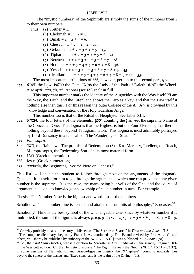The "mystic numbers" of the Sephiroth are simply the sums of the numbers from 1 to their own numbers.

- Thus  $(i)$  Kether = 1.
	- (2) Chokmah =  $1 + 2 = 3$ .
	- (3) Binah =  $1 + 2 + 3 = 6$ .
	- (4) Chesed =  $1 + 2 + 3 + 4 = 10$ .
	- (5) Geburah =  $1 + 2 + 3 + 4 + 5 = 15$ .
	- (6) Tiphareth =  $1 + 2 + 3 + 4 + 5 + 6 = 21$ .
	- (7) Netzach =  $1 + 2 + 3 + 4 + 5 + 6 + 7 = 28$ .
	- (8) Hod =  $1 + 2 + 3 + 4 + 5 + 6 + 7 + 8 = 36$ .
	- (9) Yesod =  $1 + 2 + 3 + 4 + 5 + 6 + 7 + 8 + 9 = 45$ .
	- (10) Malkuth =  $1 + 2 + 3 + 4 + 5 + 6 + 7 + 8 + 9 + 10 = 55$ .

The most important attributions of 666, however, pertain to the second part, *q.v.*

 $671.$  arut the Law, ורעא the Gate, והיגש the Lady of the Path of Daleth, וערא the Wheel. Also **ווֹר בּוֹז, דְּלְה, אוֹהּ** Adonai (see 65) spelt in full.

This important number marks the identity of the Augoeides with the Way itself ("I am the Way, the Truth, and the Life") and shows the Taro as a key; and that the Law itself it nothing else than this. For this reason the outer College of the A∴A∴ is crowned by this "knowledge and conversation of the Holy Guardian Angel."

This number too is that of the Ritual of Neophyte. See Liber XIII.

- $741.$  curing the four letters of the elements.  $\mathbb{Z}^*$ , counting the  $\mathbb{Z}$  as 700, the supreme Name of the Concealed One. The dogma is that the Highest is but the Four Elements; that there is nothing beyond these, beyond Tetragrammaton. This dogma is most admirably portrayed by Lord Dunsanay in a tale called "The Wanderings of Shaun."<sup>58</sup>
- 777. *Vide supra.*

-

- 800. the Rainbow. The promise of Redemption (8)—8 as Mercury, Intellect, the Ruach, Microprosopus, the Redeeming Son—in its most material form.
- $811.$  IA $\Omega$  (Greek numeration).
- 888. Jesus (Greek numeration).
- 913. בראשית, the Beginning. See "A Note on Genesis."

This list<sup>\*</sup> will enable the student to follow through most of the arguments of the dogmatic Qabalah. It is useful for him to go through the arguments b which one can prove that any given number is the supreme. It is the case, the many being but veils of the One; and the course of argument leads one to knowledge and worship of each number in turn. For example.

Thesis. The Number Nine is the highest and worthiest of the numbers.

Scholion  $\alpha$ . "The number nine is sacred, and attains the summits of philosophy," Zoroaster.<sup>59</sup>

Scholion  $\beta$ . Nine is the best symbol of the Unchangeable One, since by whatever number it is multiplied, the sum of the figures is always 9, *e.g.*  $9 \times 487 = 4383$ .  $4 + 3 + 8 + 3 = 18$ .  $1 + 8 = 9$ .

<sup>58</sup> Crowley probably means to the story published as "The Sorrow of Search" in *Time and the Gods* – T.S.

<sup>\*</sup> The complete dictionary, begun by Frater I. A., continued by Fra. P. and revised by Fra. A. e. G. and others, will shortly be published by authority of the A∴A∴ – A.C. [It was published in *Equinox* I (8)]

<sup>59</sup> *i.e.*, the *Chaldæan Oracles*, whose ascription to Zoroaster is *late* (medieval / Renaissance); fragment 186 in the Westcott edition. Cf. the Hermetic discourse "The Eighth Reveals the Ninth" (*NHC* VI 52.1 – 63.32); in some versions of Hermeticism and Graeco-Egpytian magick the "9<sup>th</sup> sphere" (counting upwards) lies beyond the sphere of the planets and "fixed stars" and is the realm of the Divine – T.S.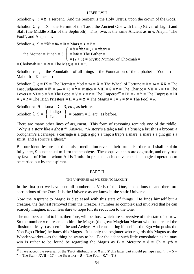Scholion  $\gamma$ ,  $g = \mathbf{m}$ , a serpent. And the Serpent is the Holy Uræus, upon the crown of the Gods.

Scholion  $\delta$ .  $g = IX =$  the Hermit of the Tarot, the Ancient One with Lamp (Giver of Light) and Staff (the Middle Pillar of the Sephiroth). This, two, is the same Ancient as in 0, Aleph, "The Fool", and Aleph  $=$  1.

Scholion e. 
$$
9 = 75 = 80 = 50 = 50
$$

\n
$$
= 80 = 50 = 50
$$
\n
$$
= 250 = 73 = 73
$$
\n
$$
= 73 = 73
$$
\n
$$
= 73 = 73
$$
\n
$$
= 73 = 73
$$
\n
$$
= 73 = 73
$$
\n
$$
= 73 = 73
$$
\n
$$
= 73 = 73
$$
\n
$$
= 73 = 73
$$
\n
$$
= 73 = 73
$$
\n
$$
= 73 = 73
$$
\n
$$
= 73 = 73
$$
\n
$$
= 73 = 73
$$
\n
$$
= 73 = 73
$$
\n
$$
= 73 = 73
$$
\n
$$
= 73 = 73
$$
\n
$$
= 73 = 73
$$
\n
$$
= 73 = 73
$$
\n
$$
= 73 = 73
$$
\n
$$
= 73 = 73
$$
\n
$$
= 73 = 73
$$
\n
$$
= 73 = 73
$$
\n
$$
= 73 = 73
$$
\n
$$
= 73 = 73
$$
\n
$$
= 73 = 73
$$
\n
$$
= 73 = 73
$$
\n
$$
= 73 = 73
$$
\n
$$
= 73 = 73
$$
\n
$$
= 73 = 73
$$
\n
$$
= 73 = 73
$$
\n
$$
= 73 = 73
$$
\n
$$
= 73 = 73
$$
\n
$$
= 73 = 73
$$
\n
$$
= 73 = 73
$$
\n
$$
= 73 = 73
$$
\n
$$
= 73 = 73
$$
\n
$$
= 73 = 73
$$
\n
$$
= 73 = 73
$$
\n
$$
= 73 = 73
$$
\n
$$
= 73 = 73
$$
\n $$ 

Scholion  $\epsilon$ .  $g =$  the Foundation of all things = the Foundation of the alphabet = Yod = 10 = Malkuth =  $Kether = T$ .

Scholion  $\zeta$ .  $g = IX = The Hermit = Yod = I_0 = X = The Wheeler of Fortune =  $Q = 20 = XX = The$$ Last Judgement =  $\mathcal{V} = 300 = 30 = 5 = 1$  = Justice = VIII =  $8 = \overline{n}$  = The Chariot = VII =  $7 = \overline{r}$  = The Lovers = VI =  $6 = 1$  = The Pope = V =  $5 = 1$  = The Emperor<sup>60</sup> = IV =  $4 = 1$  = The Empress = III  $= 3 = \mathbf{J} =$  The High Priestess  $= \Pi = 2 = \mathbf{D} =$  The Magus  $= I = I = \mathbf{N} =$  The Fool  $= 0$ .

Scholion  $\eta$ .  $9 =$ Luna =  $\lambda = 3$ , *etc.*, as before. Scholion  $\theta$ .  $9 = \left\{\begin{array}{c}\text{Indigo} \\ \text{Leaf}\end{array}\right\} = \text{Saturn} = 3, \text{ etc., as before.}$ 

 $\overline{a}$ 

There are many other lines of argument. This form of reasoning reminds one of the riddle. "Why is a story like a ghost?" Answer. "A story's a tale; a tail's a brush; a brush is a broom; a brougham's a carriage; a carriage is a gig; a gig's a trap; a trap's a snare; a snare's a gin; gin's a spirit; and a spirit's a ghost."

But our identities are not thus false; meditation reveals their truth. Further, as I shall explain fully later, 9 is not equal to 1 for the neophyte. These equivalences are dogmatic, and only true by favour of Him in whom All is Truth. In practice each equivalence is a magical operation to be carried out by the aspirant.

# PART II

# THE UNIVERSE AS WE SEEK TO MAKE IT

In the first part we have seen all numbers as Veils of the One, emanations of and therefore corruptions of the One. It is the Universe as we know it, the static Universe.

Now the Aspirant to Magic is displeased with this state of things. He finds himself but a creature, the farthest removed from the Creator, a number so complex and involved that he can scarcely imagine, much less dare to hope for, its reduction to the One.

The numbers useful to him, therefore, will be those which are subversive of this state of sorrow. So the number 2 represents to him the Magus (the great Magician Mayan who has created the illusion of Maya) as seen in the 2nd Aethyr. And considering himself as the Ego who posits the Non-Ego (Fichte) he hates this Magus. It is only the beginner who regards this Magus as the Wonder-worker—as the thing he wants to be. For the adept such little consolation as he may win is rather to be found be regarding the Magus as B = Mercury =  $8 = Ch = 418$ 

<sup>&</sup>lt;sup>60</sup> If we accept the reversal of the Tarot attributions of  $\overline{p}$  and  $\overline{p}$  this latter part should perhaps read "... = 5 =  $n = The Star = XVII = 17 = the Swastika = N = The Food = 0." - T.S.$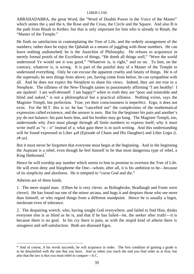ABRAHADABRA, the great Word, the "Word of Double Power in the Voice of the Master" which unites the  $\zeta$  and the 6, the Rose and the Cross, the Circle and the Square. And also B is the path from Binah to Kether; but that is only important for him who is already in Binah, the "Master of the Temple."

He finds no satisfaction in contemplating the Tree of Life, and the orderly arrangement of the numbers; rather does he enjoy the Qabalah as a means of juggling with those numbers. He can leave nothing undisturbed; he is the Anarchist of Philosophy. He refuses to acquisesce in merely formal proofs of the Excellence of things, "He doeth all things well," "Were the world understood Ye would see it was good," "Whatever is, is right," and so on. To him, on the contrary, whatever is, is wrong. It is part of the painful duty of a Master of the Temple to understand everything. Only he can excuse the apparent cruelty and fatuity of things. He is of the supernals; he sees things from above; yet, having come from below, he can sympathise with all. And he does not expect the Neophyte to share his views. Indeed, they are not true to a Neophyte. The silliness of the New-Thought zanies in passionately affirming "I am healthy! I am opulent! I am well-dressed! I am happy!" when in truth they are "poor and miserable and blind and naked," is not a philosophical but a practical silliness. Nothing exists, says the Magister Templi, but perfection. True; yet their consciousness is imperfect. Ergo, it does not exist. For the M.T. this is so: he has "cancelled out" the complexities of the mathematical expression called existence, and the answer is zero. But for the beginner his pain and another's joy do not balance: his pain hurts him, and his brother may go hang. The Magister Templi, too, understands why Zero must plunge through all finite numbers to express itself; why it must write itself as " $n - n$ " instead of 0; what gain there is in such writing. And this understanding will be found expressed in Liber 418 (Episode of Chaos and His Daughter) and Liber Legis (i. 28-30).

But it must never be forgotten that everyone must begin at the beginning. And in the beginning the Aspirant is a rebel, even though he feel himself to be that most dangerous type of rebel, a King Dethroned.<sup>\*</sup>

Hence he will worship any number which seems to him to promise to overturn the Tree of Life. He will even deny and blaspheme the One—whom, after all, it is his ambition to be—because of its simplicity and aloofness. He is tempted to "curse God and die."

Atheists are of three kinds.

-

1. The mere stupid man. (Often he is very clever, as Bolingbroke, Bradlaugh and Foote were clever). He has found out one of the minor arcana, and hugs it and despises those who see more than himself, or who regard things from a different standpoint. Hence he is usually a bigot, intolerant even of tolerance.

2. The despairing wretch, who, having sought God everywhere, and failed to find Him, thinks everyone else is as blind as he is, and that if he has failed—he, the seeker after truth!—it is because there is no goal. In his cry there is pain, as with the stupid kind of atheist there is smugness and self-satisfaction. Both are diseased Egos.

<sup>\*</sup> And of course, if his revolt succeeds, he will acquisece in order. The first condition of gaining a grade is to be dissatisfied with the one that you have. And so when you reach the end you find order as at first; but also that the law is that you must rebel to conquer—A.C.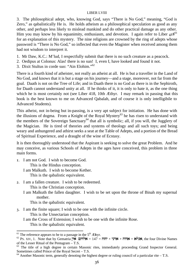3. The philosophical adept, who, knowing God, says "There is No God," meaning, "God is Zero," as qabalistically He is. He holds atheism as a philosophical speculation as good as any other, and perhaps less likely to mislead mankind and do other practical damage as any other. Him you may know by his equanimity, enthusiasm, and devotion. I again refer to Liber  $418^{61}$ for an explanation of this mystery. The nine religions are crowned by the ring of adepts whose password is "There is No God," so inflected that even the Magister when received among them had not wisdom to interpret it.

- 1. Mr Daw, K.C.: M'lud, I respectfully submit that there is no such creature as a peacock.
- 2. Oedipus at Colonus: Alas! there is no sun! I, even I, have looked and found it not.
- 3. Dixit Stultus in corde suo: "Ain Elohim."<sup>62</sup>

There is a fourth kind of atheister, not really an atheist at all. He is but a traveller in the Land of No God, and knows that it is but a stage on his journey—and a stage, moreover, not far from the goal. Daath is not on the Tree of Life; and in Daath there is no God as there is in the Sephiroth, for Daath cannot understand unity at all. If he thinks of it, it is only to hate it, as the one thing which he is most certainly not (see Liber 418, 10th Æthyr. I may remark in passing that this book is the best known to me on Advanced Qabalah, and of course it is only intelligibile to Advanced Students).

This atheist, not in-being but in-passing, is a very apt subject for initiation. He has done with the illusions of dogma. From a Knight of the Royal Mystery<sup>63</sup> he has risen to understand with the members of the Sovereign Sanctuary<sup>64</sup> that all is symbolic; all, if you will, the Jugglery of the Magician. He is tired of theories and systems of theology and all such toys; and being weary and anhungered and athirst seeks a seat at the Table of Adepts, and a portion of the Bread of Spiritual Experience, and a draught of the wine of Ecstasy.

It is then thoroughly understood that the Aspirant is seeking to solve the great Problem. And he may conceive, as various Schools of Adepts in the ages have conceived, this problem in three main forms.

1. I am not God. I wish to become God. This is the Hindus conception.

I am Malkuth. I wish to become Kether. This is the qabalistic equivalent.

- 2. I am a fallen creature. I wish to be redeemed. This is the Christian conception.
	- I am Malkuth the fallen daughter. I wish to be set upon the throne of Binah my supernal mother.

This is the qabalistic equivalent.

3. I am the finite square; I wish to be one with the infinite circle.

This is the Unsectarian conception.

I am the Cross of Extension; I wish to be one with the infinite Rose. This is the qabalistic equivalent.

 $\overline{a}$ 

 $61$  The reference appears to be to a passage in the  $5<sup>th</sup>$  Æthyr.

 $^{62}$  Ps. XIV, 1. Note that by Gematria  $\overline{X} \times 147 = 147 = 147 + 147 + 141$ אבלא + אחיה +  $\overline{X}$ , the four Divine Names of the Lesser Ritual of the Pentagram – T.S.

<sup>&</sup>lt;sup>63</sup> The title of a high degree in certain Masonic rites, immediately proceeding Grand Inspector General. Sometimes called Prince of the Royal Secret – T.S.

 $64$  Another Masonic term, generally denoting the highest degree or ruling council of a particular rite – T.S.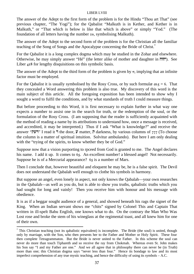The answer of the Adept to the first form of the problem is for the Hindu "Thou art That" (see previous chapter, "The Yogi"); for the Qabalist "Malkuth is in Kether, and Kether is in Malkuth," or "That which is below is like that which is above" or simply "Yod." (The foundation of all letters having the number 10, symbolising Malkuth).

The answer of the Adept to the second form of the problem is for the Christian all the familiar teaching of the Song of Songs and the Apocalypse concerning the Bride of Christ.\*

For the Qabalist it is a long complex dogma which may be studied in the Zohar and elsewhere. Otherwise, he may simply answer "Hé" (the letter alike of mother and daughter in  $\pi$ "). See Liber 418 for lengthy disquisitions on this symbolic basis.

The answer of the Adept to the third form of the problem is given by  $\pi$ , implying that an infinite factor must be employed.

For the Qabalist it is usually symbolised by the Rosy Cross, or by such formulæ as  $5 = 6$ . That they concealed a Word answering this problem is also true. My discovery of this word is the main subject of this article. All the foregoing exposition has been intended to show why I sought a word to fulfil the conditions, and by what standards of truth I could measure things.

But before proceeding to this Word, it is first necessary to explain further in what way one expects a number to assist one in the search for truth, or the redemption of the soul, or the formulation of the Rosy Cross. (I am supposing that the reader is sufficiently acquainted with the method of reading a name by its attributions to understand how, once a message is received, and accredited, it may be interpreted.) Thus if I ask "What is knowledge?" and receive the answer "דער" I read it ¬ the door,  $\mathcal{Y}$  matter,  $\mathcal{Y}$  darkness, by various columns of 777 (To choose the column is a matter of spiritual intuition. Solvitur ambulando). But here I am only dealing with the "trying of the spirits, to know whether they be of God."

Suppose now that a vision purporting to rpceed from God is granted to me. The Angel declares his name. I add it up. It comes to 65. An excellent number! a blessed angel! Not necessarily. Suppose he is of a Mercurial appearance? 65 is a number of Mars.

Then I conclude that, however beautiful and eloquent he may be, he is a false spirit. The Devil does not understand the Qabalah well enough to clothe his symbols in harmony.

But suppose an angel, even lonely in aspect, not only knows the Qabalah—your own researches in the Qabalah—as well as you do, but is able to show you truths, qabalistic truths which you had sought for long and vainly! Then you receive him with honour and his message with obedience.

It is as if a beggar sought audience of a general, and showed beneath his rags the signet of the King. When an Indian servant shows me "chits" signed by Colonel This and Captain That written in ill-spelt Babu English, one knows what to do. On the contrary the Man Who Was Lost rose and broke the stem of his wineglass at the regimental toast, and all knew him for one of their own.

<sup>\*</sup> This Christian teaching (not its qabalistic equivalent) is incomplete. The Bride (the soul) is united, though only by marriage, with the Son, who then presents her to the Father and Mother or Holy Spirit. These four then complete Tetragrammaton. But the Bride is never united to the Father. In this scheme the soul can never do more than touch Tiphareth and so receive the ray from Chokmah. Whereas even St. John makes his Son say "I and my Father are one." And we all agree that in philosophy there can never be (in Truth) more than one; this Christian dogma says "never less than four." Hence its bondage to law and its most imperfect comprehension of any true mystic teaching, and hence the difficulty of using its symbols – A.C.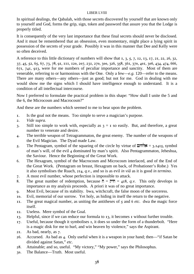In spiritual dealings, the Qabalah, with those secrets discovered by yourself that are known only to yourself and God, forms the grip, sign, token and password that assure you that the Lodge is properly titled.

It is consequently of the very last importance that these final secrets should never be disclosed. And it must be remembered that an obsession, even momentary, might place a lying spirit in possession of the secrets of your grade. Possibly it was in this manner that Dee and Kelly were so often deceived.

A reference to this little dictionary of numbers will show that 1, 3, 5, 7, 12, 13, 17, 21, 22, 26, 32, 37, 45, 52, 65, 67, 73, 78, 91, 111, 120, 207, 231, 270, 300, 326, 358, 361, 370, 401, 306, 434, 474, 666, 671, 741, 913, were for me numbers of peculiar importance and sanctity. Most of them are venerable, referring to or harmonious with the One. Only a few—*e.g.* 120—refer to the means. There are many others—any others—just as good; but not for me. God in dealing with me would show me the signs which I should have intelligence enough to understand. It is a condition of all intellectual intercourse.

Now I preferred to formulate the practical problem in this shape: "How shall I unite the 5 and the 6, the Microcosm and Macrocosm?"

And these are the numbers which seemed to me to bear upon the problem.

- 1. Is the goal not the means. Too simple to serve a magician's purpose.
- 2. *Vide supra.*
- 3. Still too simple to work with, especially as  $3 = 1$  so easily. But, and therefore, a great number to venerate and desire.
- 4. The terrible weapon of Tetragrammaton, the great enemy. The number of the weapons of the Evil Magician. The Dyad made Law.
- 5. The Pentagram, symbol of the squaring of the circle by virtue of  $\Box \times \Box$  = 3.1415, symbol of man's will, of the evil 4 dominated by man's spirit. Also Pentagrammaton, Jeheshua, the Saviour. Hence the Beginning of the Great Work.
- 6. The Hexagram, symbol of the Macrocosm and Microcosm interlaced, and of the End of the Great Work. (Pentagram on breast, Hexagram on back, of Probationer's Robe.) Yes it also symbolises the Ruach, 214, *q.v.*, and so is as evil *in viâ* as it is good *in termino*.
- 7. A most evil number, whose perfection is impossible to attack.
- 8. The great number of redemption, because  $\bar{n} = \pi r = 418$ , q.v. This only develops in importance as my analysis proceeds. A priori it was of no great importance.
- 9. Most Evil, because of its stability. bwa, witchcraft, the false moon of the sorceress.
- 10. Evil, memorial of our sorrow. Yet holy, as hiding in itself the return to the negative.
- 11. The great magical number, as uniting the antitheses of  $5$  and  $6$  *etc.* dwa the magic force itself.
- 12. Useless. Mere symbol of the Goal.
- 13. Helpful, since if we can reduce our formula to 13, it becomes 1 without further trouble.
- 17. Useful, because though it symbolises 1, it does so under the form of a thunderbolt. "Here is a magic disk for me to hurl, and win heaven by violence," says the Aspirant.
- 21. As bad, nearly, as 7.
- 26. Accursed. As bad as 4. Only useful when it is a weapon in your hand; then—"if Satan be divided against Satan," *etc.*
- 28. Attainable; and so, useful. "My victory," "My power," says the Philosophus.
- 30. The Balance—Truth. Most useful.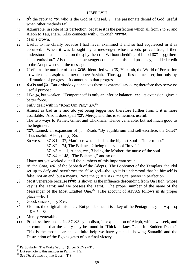- 31.  $\mathbb{S}^2$  the reply to  $\mathbb{S}^2$ , who is the God of Chesed, 4. The passionate denial of God, useful when other methods fail.
- 32. Admirable, in spite of its perfection, because it is the perfection which all from 1 to 10 and Aleph to Tau, share. Also connects with 6, through **אהיהוה**.
- 37. Man's crown.
- 44. Useful to me chiefly because I had never examined it and so had acquiesced in it as accursed. When it was brought by a messenger whose words proved true, I then understood it as an attack on the 4 by the 11. "Without shedding of blood ( $\Box$  = 44) there is no remission." Also since the messenger could teach this, and prophecy, it added credit to the Adept who sent the message.
- 45. Useful as the number of man,  $\Box \mathbb{R}$ , identified with  $\Box$ , Yetzirah, the World of Formation to which man aspires as next above Assiah. Thus 45 baffles the accuser, but only by affirmation of progress. It cannot help that progress.
- $52.$  and  $\sum$  But orthodoxy conceives these as external saviours; therefore they serve no useful purpose.
- 60. Like 30, but weaker. "Temperance" is only an inferior balance. 120, its extension, gives a better force.
- 65. Fully dealt with in "Konx Om Pax," *q.v.* 65
- 72. Almost as bad as 4 and 26; yet being bigger and therefore further from 1 it is more assailable. Also it does spell הבר, Mercy, and this is sometimes useful.
- 73. The two ways to Kether, Gimel and Chokmah. Hence venerable, but not much good to the beginner.
- $74.$   $\overline{74.}$  Lamed, an expansion of 30. Reads "By equilibrium and self-sacrifice, the Gate!" Thus useful. Also  $74 = 37 \times 2$ .
	- So we see  $37 \times 1 = 37$ , Man's crown, Jechidah, the highest Soul—"in termino."
		- $37 \times 2 = 74$ , The Balance, 2 being the symbol "in viâ."
		- $37 \times 3 = 111$ , Aleph, *etc.*, 3 being the Mother, the nurse of the soul.
		- $37 \times 4 = 148$ , "The Balances," and so on.

I have not yet worked out all the numbers of this important scale.

- 77. zu, the Goat, *scil.* of the Sabbath of the Adepts. The Baphomet of the Templars, the idol set up to defy and overthrow the false god—though it is understood that he himself is false, not an end, but a means. Note the  $77 = 7 \times 11$ , magical power in perfection.
- 78. Most venerable because  $\sin \pi x$  is shown as the influence descending from On High, whose key is the Tarot: and we possess the Tarot. The proper number of the name of the Messenger of the Most Exalted One.<sup>66</sup> [The account of AIVAS follows in its proper place.— $Ed.$ ]<sup>67</sup>
- 85. Good, since  $85 = 5 \times 17$ .
- 86. Elohim, the original mischief. But good, since it is a key of the Pentagram,  $5 = 1 + 4 = 14$  $= 8 + 6 = 86.$
- 91. Merely venerable.

 $\overline{a}$ 

111. Priceless, because of its  $37 \times 3$  symbolism, its explanation of Aleph, which we seek, and its comment that the Unity may be found in "Thick darkness" and in "Sudden Death." This is the most clear and definite help we have yet had, showing Samadhi and the Destruction of the Ego as gates of our final victory.

 $65$  Particularly "The Wake World" (Liber XCV) – T.S.

 $66$  But see note to this number in Part I. – T.S.

<sup>67</sup> See *The Equinox of the Gods* – T.S.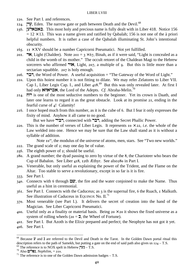120. See Part I. and references.

- $124.$   $\text{V}$ , Eden. The narrow gate or path between Death and the Devil.<sup>68</sup>
- $\text{156.}$   $\text{156.}$   $\text{156.}$  This most holy and precious name is fully dealt with in Liber 418. Notice 156  $= 12 \times 13$ . This was a name given and ratified by Oabalah; 156 is not one of the à priori helpful numbers. It is rather a case of the Qabalah illuminating St. John's intentional obscurity.
- 165.  $II \times XV$  should be a number Capricorni Pneumatici. Not yet fulfilled.
- 201. **R**, Light (Chaldee). Note 201 =  $3 \times 67$ , Binah, as if it were said, "Light is concealed as a child in the womb of its mother." The occult retoret of the Chaldean Magi to the Hebrew sorcerers who affirmed **right**, Light, 207, a multiple of 9. But this is little more than a sectarian squabble. 207 is holy enough.
- 206.  $r = 2$ , the Word of Power. A useful acquisition = "The Gateway of the Word of Light."
- 210. Upon this hoiest number it is not fitting to dilate. We may refer Zelatores to Liber VII. Cap I., Liber Legis Cap. I., and Liber 418.<sup>69</sup> But this was only revealed later. At first I had only **אבראהא**, the Lord of the Adepts. *Cf.* Abraha-Melin.<sup>70</sup>
- $214$ .  $\overline{111}$  is one of the most seductive numbers to the beginner. Yet its crown is Daath, and later one learns to regard it as the great obstacle. Look at its promise 21, ending in the fearful curse of 4! Calamity!
- 216. I once hoped much from this number, as it is the cube of 6. But I fear it only expresses the fixity of mind. Anyhow it all came to no good.

But we have רבר, connected with רבר, adding the Secret Phallic Power.

220. This is the number of verses of Liber Legis. It represents  $10 \times 22$ , *i.e.* the whole of the Law welded into one. Hence we may be sure that the Law shall stand as it is without a syllable of addition.

Note  $10^{22}$ , the modulus of the universe of atoms, men, stars. See "Two new worlds."

- 222. The grand scale of 2; may one day be of value.
- 256. The eighth power of 2; should be useful.
- 280. A grand number; the dyad passing to zero by virtue of the 8, the Charioteer who bears the Cup of Babalon. See Liber 418, 12th Æthyr. See also 280 in Part I.
- 300. Venerable, but only useful as explaining the power of the Trident, and the Flame on the Altar. Too stable to serve a revolutionary, except in so far is it is fire.
- 333. See Part I.
- 340. Connects with 6 through  $\Xi \omega$ , the fire and the water conjoined to make the Name. Thus useful as a hint in ceremonial.
- $36I.$  See Part I. Connects with the Caduceus; as  $3$  is the supernal fire, 6 the Ruach, 1 Malkuth. See illustration of Caduceus in EQUINOX No.  $II.^{71}$
- 370. Most venerable (see Part I.). It delivers the secret of creation into the hand of the Magician. See Liber Capricorni Pneumatici.
- 400. Useful only as a finality or material basis. Being  $20 \times 20$  it shows the fixed universe as a system of rolling wheels ( $20 = 2$ , the Wheel of Fortune).
- 401. See Part I. But Azoth is the Elixir prepared and perfect; the Neophyte has not got it yet.
- 406. See Part I.

<sup>&</sup>lt;sup>68</sup> Because **v** and **1** are referred to the Devil and Death in the Tarot. In the Golden Dawn portal ritual this description refers to the path of Samekh, but putting a gate on the end of said path also gives us  $124 - T.S$ .

 $69$  The reference is to NOX spelt in Hebrew  $72 - T.S$ .

 $^{70}$  Also בפלים, *Nephilim*, = 210.

<sup>&</sup>lt;sup>71</sup> The reference is to one of the Golden Dawn admission badges – T.S.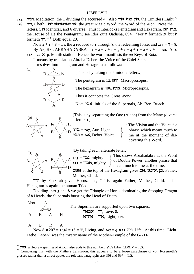$414$ . הגוה Meditation, the 1 dividing the accursed 4. Also האד  $\mathbf{w}$ , the Limitless Light.<sup>72</sup>

418. tyj, Cheth. arbadahabra, the great Magic Word, the Word of the Æon. Note the 11 letters, 5  $\otimes$  identical, and 6 diverse. Thus it interlocks Pentagram and Hexagram.  $\otimes$   $\vdots$ the House of Hé the Pentagram; see Idra Zuta Qadisha, 694. "For  $\overline{n}$  formeth  $\overline{2}$ , but  $\overline{n}$ formeth  $\overline{11}$ ."<sup>73</sup> Both equal 20.

Note  $4 + I + 8 = I_3$ , the 4 reduced to 1 through 8, the redeeming force; and  $4I_3 = \overline{R} = 8$ . By Aig Bkr, ABRAHADABRA =  $1 + 2 + 2 + 1 + 5 + 1 + 4 + 1 + 2 + 2 + 1 = 22$ . Also  $4I8 = 22 \times I9$ , Manifestation. Hence the word manifests the 22 Keys of Rota.

It means by translation Abraha Deber, the Voice of the Chief Seer. It resolves into Pentagram and Hexagram as follows:—

letters).]

 $205 = 72$ , mighty  $213 = 213$ . mighty





[This is by taking the 5 middle letters.]

The pentagram is 12,  $\overline{\mathbf{N}}$ , Macroprosopus.

The hexagram is 406, **אהה**. Microprosopus.

Thus it connotes the Great Work.

Note **אבר**, initials of the Supernals, Ab, Ben, Ruach.



ברה $=$  207, Aur, Light רבר $= 206$ , Deber, Voice

The Vision and the Voice," a phrase which meant much to me at the moment of discovering this Word.



B

 $\overline{a}$ 

R

[By taking each alternate letter.]

This shows Abrahadabra as the Word of Double Power, another phrase that meant much to me at the time.

בן, **אימא, אב**, **אימא, אב**, Father, **ב**ן, Father, Mother, Child.

rdh by Yetzirah gives Horus, Isis, Osiris, again Father, Mother, Child. This Hexagram is again the human Triad.

Dividing into 3 and 8 we get the Triangle of Horus dominating the Stooping Dragon of 8 Heads, the Supernals bursting the Head of Daath.



Now  $8 \times 207 = 1656 = 18 = 7$ , Living, and  $207 = 9 \times 23$ ,  $\overline{177}$ , Life. At this time "Licht, Liebe, Leben" was the mystic name of the Mother-Temple of the G∴D∴.

<sup>&</sup>lt;sup>72</sup> אחות a Hebrew spelling of Azoth, also adds to this number. *Vide* Liber CDXIV – T.S.

<sup>&</sup>lt;sup>73</sup> Comparing this with the Mathers translation, this appears to be a loose paraphrase of von Rosenroth's glosses rather than a direct quote; the relevant paragraphs are 696 and 697 – T.S.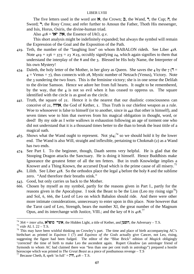The five letters used in the word are **S**, the Crown;  $\Box$ , the Wand,  $\neg$ , the Cup;  $\neg$ , the Sword;  $\neg$ , the Rosy Cross; and refer further to Amoun the Father, Thoth His messenger, and Isis, Horus, Osiris, the divine-human triad.

Also  $418 = W$ **.**  $\mathbb{R}^4$ , the Essence of IAO, *q.v.* 

This short analysis might be indefinitely expanded; but always the symbol will remain the Expression of the Goal and the Exposition of the Path.

- 419. Teth, the number of the "laughing lion" on whom BABALON rideth. See Liber 418. Note  $419 + 156 = 575 = 23 \times 25$ , occultly signifying 24, which again signifies to them that understand the interplay of the 8 and the 3. Blessed be His holy Name, the Interpreter of his own Mystery!
- 434. Daleth, the holy letter of the Mother, in her glory as Queen. She saves the 4 by the  $7(7)$  $4 =$  Venus  $= 7$ ), thus connects with 28, Mystic number of Netzach (Venus), Victory. Note the 3 sundering the two fours. This is the feminine victory; she is in one sense the Delilah to the divine Samson. Hence we adore her from full hearts. It ought to be remembered, by the way, that the 4 is not so evil when it has ceased to oppress us. The square identified with the circle is as good as the circle.
- 441. Truth, the square of 21. Hence it is the nearest that our dualistic consciousness can conceive of  $2I$ , האדה, the God of Kether, I. Thus Truth is our chiefest weapon as a rule. Woe to whosoever is false to himself (or to another, since in 441 that other is himself), and seven times woe to him that swerves from his magical obligation in thought, word, or deed! By my side as I write wallows in exhaustion following an age of torment one who did not understand that it is a thousand times better to die than to break the least tittle of a magical oath.
- 463. Shows what the Wand ought to represent. Not  $364$ <sup>74</sup> so we should hold it by the lower end. The Wand is also Will, straight and inflexible, pertaining to Chokmah (2) as a Wand has two ends.
- 474. See Part I. To the beginner, though, Daath seems very helpful. He is glad that the Stooping Dragon attacks the Sanctuary. He is doing it himself. Hence Buddhists make Ignorance the greatest fetter of all the ten fetters. But in truth Knowledge implies a Knower and a Thing Known, the accursed Dyad which is the prime cause of all misery.<sup>75</sup>
- 480. Lilith. See Liber 418. So the orthodox place the legal 4 before the holy 8 and the sublime zero. "And therefore their breaths stink."
- 543. Good, but only carries us back to the Mother.
- 666. Chosen by myself as my symbol, partly for the reasons given in Part I., partly for the reasons given in the Apocalypse. I took the Beast to be the Lion (Leo my rising sign<sup>76</sup>) and Sol, 6, 666, the Lord of Leo on which Babalon should ride. And there were other more intimate considerations, unnecessary to enter upon in this place. Note however that the Tarot card of Leo, Strength, bears the number XI, the great number of the Magnum Opus, and its interchange with Justice, VIII.; and the key of 8 is  $418$ .<sup>77</sup>

 $\overline{a}$ 

<sup>&</sup>lt;sup>74</sup> 364 = *inter alia*, אער מופלא, the Hidden Light, a title of Kether, and השטן, the Adversary – T.S.

<sup>75</sup> *vide* AL I. 22 – T.S.

<sup>&</sup>lt;sup>76</sup> This may have been wishful thinking on Crowley's part. The time and place of birth accompanying AC's birthchart as printed in *Equinox* I (7) and *Equinox of the Gods* actually give Cancer, not Leo, rising, suggesting the figure had been fudged. The editor of the "Blue Brick" edition of *Magick* obligingly 'corrected' the time of birth to make Leo the ascendent again. Rupert Gleadow (an astrologer friend of Symonds to whom AC had claimed there was "less than one per cent truth in astrology") prepared a hostile horoscope which was printed in *The Great Beast* as a piece of posthumous revenge – T.S

 $\text{Because Cheth, 8, spell 'in full'} = \text{TTI}, 418 - \text{T.S.}.$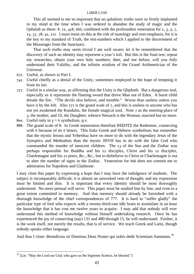This all seemed to me so important that no qabalistic truths were so firmly implanted in my mind at the time when I was ordered to abandon the study of magic and the Qabalah as these: 8,  $I_1$ ,  $I_2$ 18, 666; combined with the profoundest veneration for  $I_1$ ,  $3$ ,  $5$ ,  $7$ , 13, 37, 78, 91, 111. I must insist on this at the risk of tautology and over-emphasis; for it is the key to my standard of Truth, the test-numbers which I applied to the discernment of the Messenger from the Sanctuary.

That such truths may seem trivial I am well aware; let it be remembered that the discovery of such an identity may represent a year's toil. But this is the final test; repeat my researches, obtain your own holy numbers; then, and not before, will you fully understand their Validity, and the infinite wisdom of the Grand Arithmetician of the Universe.

- 671. Useful, as shown in Part I.
- 741. Useful chiefly as a denial of the Unity; sometimes employed in the hope of tempting it from its lair.
- 777. Useful in a similar way, as affirming that the Unity is the Qliphoth. But a dangerous tool, especially as it represents the flaming sword that drove Man out of Eden. A burnt child dreads the fire. "The devils also believe, and tremble." Worse than useless unless you have it by the hilt. Also  $777$  is the grand scale of  $7$ , and this is useless to anyone who has not yet awakened the Kundalin, the female magical soul. Note 7 as the meeting-place of 3, the mother, and 10, the Daughter; whence Netzach is the Woman, married but no more.
- 800. Useful only in  $5 = 6$  symbolism, q.v.
- 888. The grand scale of 8. In Greek numeration therefore IH $\Sigma$ OT $\Sigma$  the Redeemer, connecting with 6 because of its 6 letters. This links Greek and Hebrew symbolism; but remember that the mystic Iesous and Yeheshua have no more to do with the legendary Jesus of the Synoptics and Methodists than the mystic IHVH has to do with the false God who commanded the murder of innocent children. The 13 of the Sun and the Zodiac was perhaps responsible for Buddha and his 12 disciples, Christ and his 12 disciples, Charlemagne and his 12 peers, &c., &c., but to disbelieve in Christ or Charlemagne is not to alter the number of signs in the Zodiac. Veneration for 666 does not commit me to admiration for Napoleon and Gladstone.

I may close this paper by expressing a hope that I may have the indulgence of students. The subject is incomparably difficult; it is almost an unworked vein of thought; and my expression must be limited and thin. It is important that every identity should be most thoroughly understood. No mere perusal will serve. This paper must be studied line by line, and even to a great extent committed to memory. And that memory should already be furnished with a thorough knowledge of the chief correspondences of 777. It is hard to "suffer gladly" the particular type of fool who expects with a twenty-third-rate idle brain to assimilate in an hour the knowledge that it has cost me twelve years to acquire. I may add that nobody will ever understand this method of knowledge without himself undertaking research. Once he has experienced the joy of connecting (say) 131 and 480 through 15, he will understand. Further, it is the work itself, not merely the results, that is of service. We teach Greek and Latin, though nobody speaks either language.

And thus I close: Benedictus sit Dominus Deus Noster qui nobis dedit Scientiam Summam.<sup>78</sup>

<sup>78</sup> [*Lat*. "May the Lord our God, who gave us the Supreme Science, be blessed."]